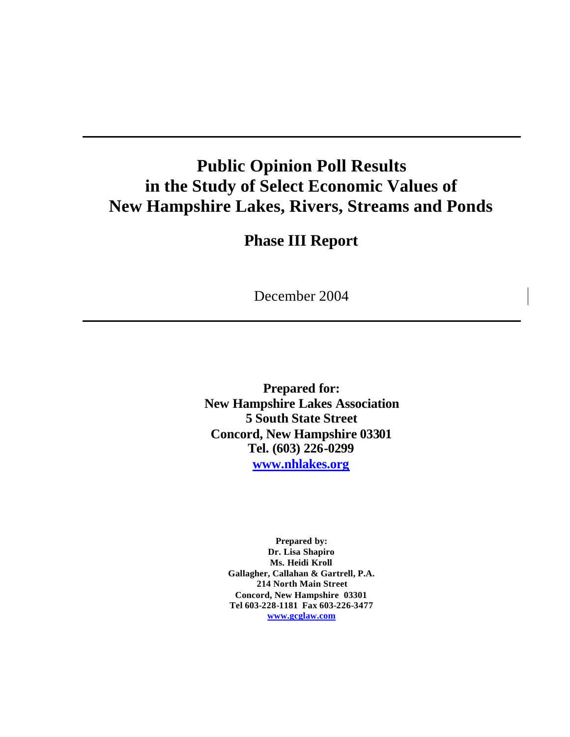# **Public Opinion Poll Results in the Study of Select Economic Values of New Hampshire Lakes, Rivers, Streams and Ponds**

# **Phase III Report**

December 2004

**Prepared for: New Hampshire Lakes Association 5 South State Street Concord, New Hampshire 03301 Tel. (603) 226-0299 www.nhlakes.org**

> **Prepared by: Dr. Lisa Shapiro Ms. Heidi Kroll Gallagher, Callahan & Gartrell, P.A. 214 North Main Street Concord, New Hampshire 03301 Tel 603-228-1181 Fax 603-226-3477 www.gcglaw.com**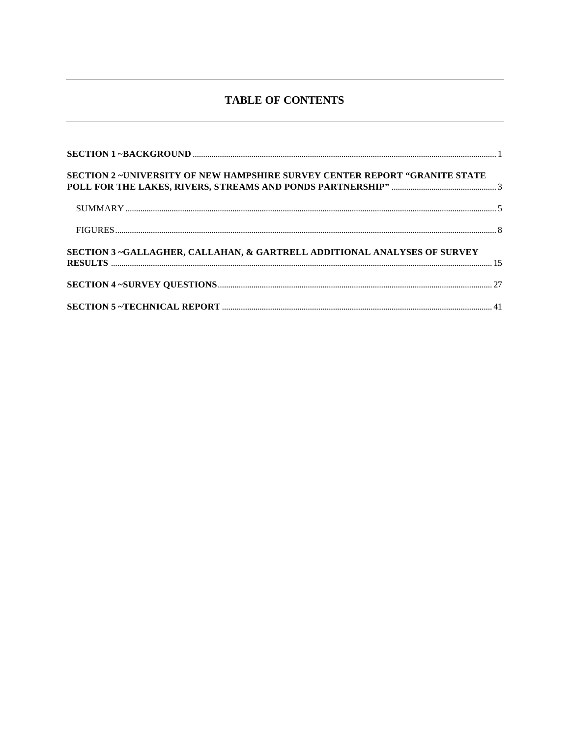# **TABLE OF CONTENTS**

| <b>SECTION 2 -UNIVERSITY OF NEW HAMPSHIRE SURVEY CENTER REPORT "GRANITE STATE</b> |  |
|-----------------------------------------------------------------------------------|--|
|                                                                                   |  |
|                                                                                   |  |
| SECTION 3 ~GALLAGHER, CALLAHAN, & GARTRELL ADDITIONAL ANALYSES OF SURVEY          |  |
|                                                                                   |  |
|                                                                                   |  |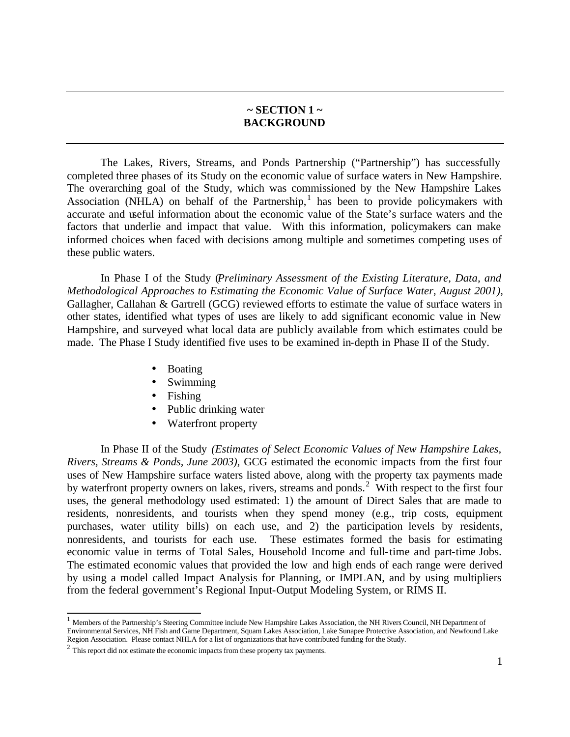## **~ SECTION 1 ~ BACKGROUND**

The Lakes, Rivers, Streams, and Ponds Partnership ("Partnership") has successfully completed three phases of its Study on the economic value of surface waters in New Hampshire. The overarching goal of the Study, which was commissioned by the New Hampshire Lakes Association (NHLA) on behalf of the Partnership,<sup>1</sup> has been to provide policymakers with accurate and useful information about the economic value of the State's surface waters and the factors that underlie and impact that value. With this information, policymakers can make informed choices when faced with decisions among multiple and sometimes competing uses of these public waters.

In Phase I of the Study (*Preliminary Assessment of the Existing Literature, Data, and Methodological Approaches to Estimating the Economic Value of Surface Water*, *August 2001),* Gallagher, Callahan & Gartrell (GCG) reviewed efforts to estimate the value of surface waters in other states, identified what types of uses are likely to add significant economic value in New Hampshire, and surveyed what local data are publicly available from which estimates could be made. The Phase I Study identified five uses to be examined in-depth in Phase II of the Study.

- Boating
- Swimming
- Fishing
- Public drinking water
- Waterfront property

In Phase II of the Study *(Estimates of Select Economic Values of New Hampshire Lakes, Rivers, Streams & Ponds, June 2003)*, GCG estimated the economic impacts from the first four uses of New Hampshire surface waters listed above, along with the property tax payments made by waterfront property owners on lakes, rivers, streams and ponds.<sup>2</sup> With respect to the first four uses, the general methodology used estimated: 1) the amount of Direct Sales that are made to residents, nonresidents, and tourists when they spend money (e.g., trip costs, equipment purchases, water utility bills) on each use, and 2) the participation levels by residents, nonresidents, and tourists for each use. These estimates formed the basis for estimating economic value in terms of Total Sales, Household Income and full-time and part-time Jobs. The estimated economic values that provided the low and high ends of each range were derived by using a model called Impact Analysis for Planning, or IMPLAN, and by using multipliers from the federal government's Regional Input-Output Modeling System, or RIMS II.

l

<sup>&</sup>lt;sup>1</sup> Members of the Partnership's Steering Committee include New Hampshire Lakes Association, the NH Rivers Council, NH Department of Environmental Services, NH Fish and Game Department, Squam Lakes Association, Lake Sunapee Protective Association, and Newfound Lake Region Association. Please contact NHLA for a list of organizations that have contributed funding for the Study.

 $2$  This report did not estimate the economic impacts from these property tax payments.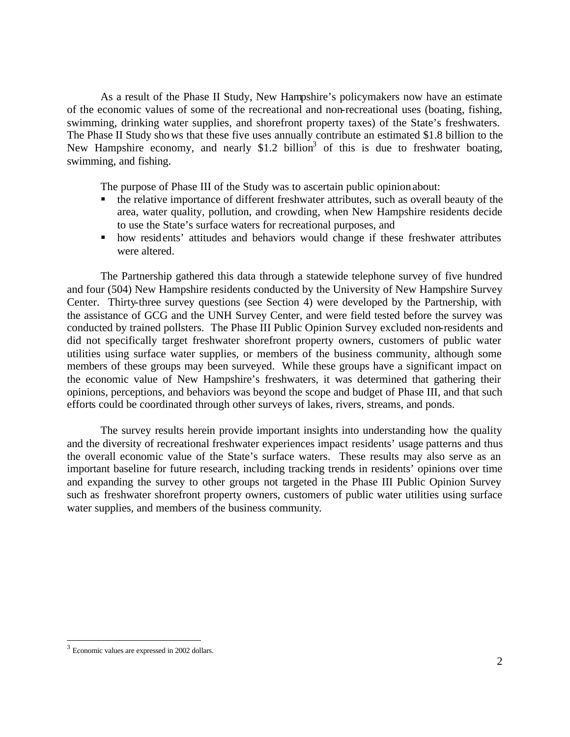As a result of the Phase II Study, New Hampshire's policymakers now have an estimate of the economic values of some of the recreational and non-recreational uses (boating, fishing, swimming, drinking water supplies, and shorefront property taxes) of the State's freshwaters. The Phase II Study shows that these five uses annually contribute an estimated \$1.8 billion to the New Hampshire economy, and nearly  $$1.2$  billion<sup>3</sup> of this is due to freshwater boating, swimming, and fishing.

The purpose of Phase III of the Study was to ascertain public opinion about:

- ß the relative importance of different freshwater attributes, such as overall beauty of the area, water quality, pollution, and crowding, when New Hampshire residents decide to use the State's surface waters for recreational purposes, and
- how residents' attitudes and behaviors would change if these freshwater attributes were altered.

The Partnership gathered this data through a statewide telephone survey of five hundred and four (504) New Hampshire residents conducted by the University of New Hampshire Survey Center. Thirty-three survey questions (see Section 4) were developed by the Partnership, with the assistance of GCG and the UNH Survey Center, and were field tested before the survey was conducted by trained pollsters. The Phase III Public Opinion Survey excluded non-residents and did not specifically target freshwater shorefront property owners, customers of public water utilities using surface water supplies, or members of the business community, although some members of these groups may been surveyed. While these groups have a significant impact on the economic value of New Hampshire's freshwaters, it was determined that gathering their opinions, perceptions, and behaviors was beyond the scope and budget of Phase III, and that such efforts could be coordinated through other surveys of lakes, rivers, streams, and ponds.

The survey results herein provide important insights into understanding how the quality and the diversity of recreational freshwater experiences impact residents' usage patterns and thus the overall economic value of the State's surface waters. These results may also serve as an important baseline for future research, including tracking trends in residents' opinions over time and expanding the survey to other groups not targeted in the Phase III Public Opinion Survey such as freshwater shorefront property owners, customers of public water utilities using surface water supplies, and members of the business community.

l

<sup>3</sup> Economic values are expressed in 2002 dollars.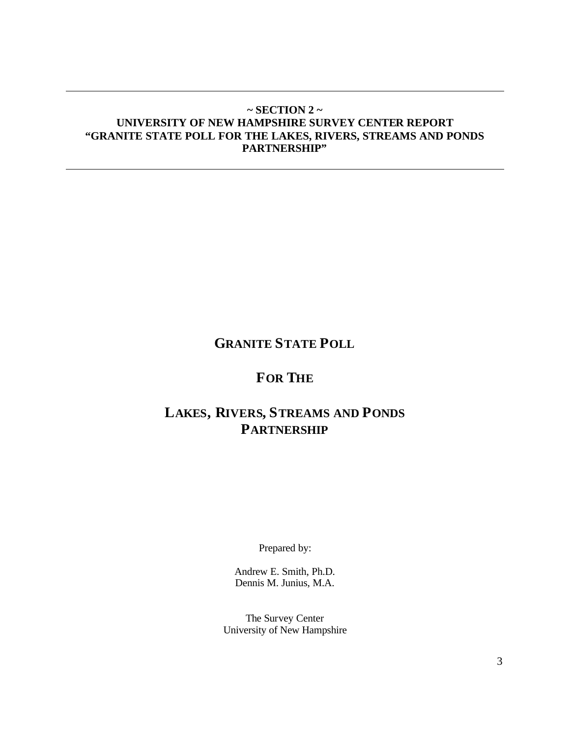# **~ SECTION 2 ~ UNIVERSITY OF NEW HAMPSHIRE SURVEY CENTER REPORT "GRANITE STATE POLL FOR THE LAKES, RIVERS, STREAMS AND PONDS PARTNERSHIP"**

# **GRANITE STATE POLL**

# **FOR THE**

# **LAKES, RIVERS, STREAMS AND PONDS PARTNERSHIP**

Prepared by:

Andrew E. Smith, Ph.D. Dennis M. Junius, M.A.

The Survey Center University of New Hampshire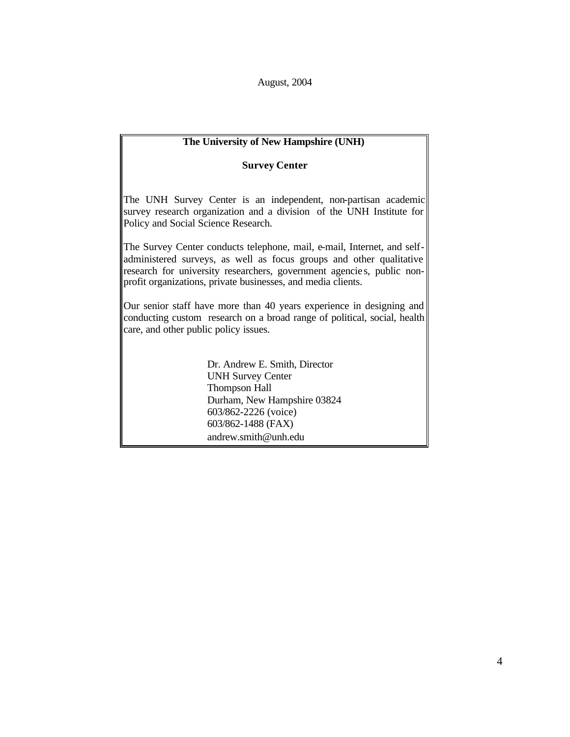August, 2004

# **The University of New Hampshire (UNH)**

## **Survey Center**

The UNH Survey Center is an independent, non-partisan academic survey research organization and a division of the UNH Institute for Policy and Social Science Research.

The Survey Center conducts telephone, mail, e-mail, Internet, and selfadministered surveys, as well as focus groups and other qualitative research for university researchers, government agencie s, public nonprofit organizations, private businesses, and media clients.

Our senior staff have more than 40 years experience in designing and conducting custom research on a broad range of political, social, health care, and other public policy issues.

> Dr. Andrew E. Smith, Director UNH Survey Center Thompson Hall Durham, New Hampshire 03824 603/862-2226 (voice) 603/862-1488 (FAX) andrew.smith@unh.edu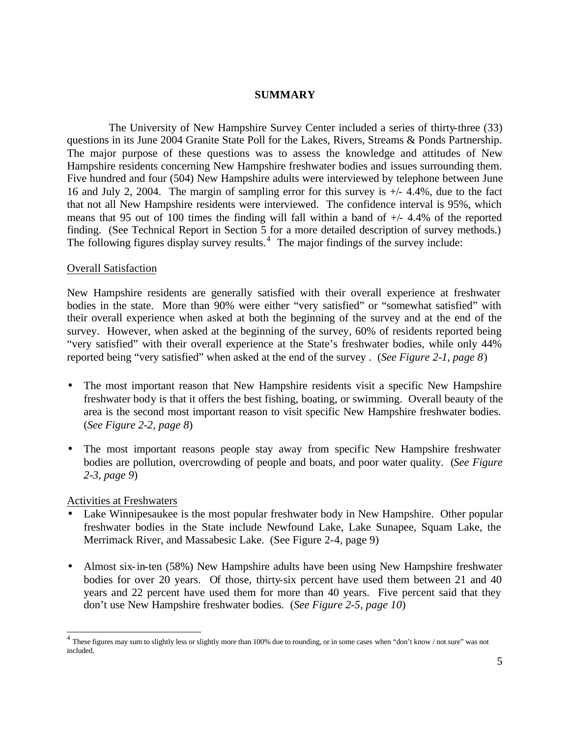## **SUMMARY**

The University of New Hampshire Survey Center included a series of thirty-three (33) questions in its June 2004 Granite State Poll for the Lakes, Rivers, Streams & Ponds Partnership. The major purpose of these questions was to assess the knowledge and attitudes of New Hampshire residents concerning New Hampshire freshwater bodies and issues surrounding them. Five hundred and four (504) New Hampshire adults were interviewed by telephone between June 16 and July 2, 2004. The margin of sampling error for this survey is +/- 4.4%, due to the fact that not all New Hampshire residents were interviewed. The confidence interval is 95%, which means that 95 out of 100 times the finding will fall within a band of  $+/- 4.4\%$  of the reported finding. (See Technical Report in Section 5 for a more detailed description of survey methods.) The following figures display survey results.<sup>4</sup> The major findings of the survey include:

## Overall Satisfaction

New Hampshire residents are generally satisfied with their overall experience at freshwater bodies in the state. More than 90% were either "very satisfied" or "somewhat satisfied" with their overall experience when asked at both the beginning of the survey and at the end of the survey. However, when asked at the beginning of the survey, 60% of residents reported being "very satisfied" with their overall experience at the State's freshwater bodies, while only 44% reported being "very satisfied" when asked at the end of the survey . (*See Figure 2-1, page 8*)

- The most important reason that New Hampshire residents visit a specific New Hampshire freshwater body is that it offers the best fishing, boating, or swimming. Overall beauty of the area is the second most important reason to visit specific New Hampshire freshwater bodies. (*See Figure 2-2, page 8*)
- The most important reasons people stay away from specific New Hampshire freshwater bodies are pollution, overcrowding of people and boats, and poor water quality. (*See Figure 2-3, page 9*)

## Activities at Freshwaters

- Lake Winnipesaukee is the most popular freshwater body in New Hampshire. Other popular freshwater bodies in the State include Newfound Lake, Lake Sunapee, Squam Lake, the Merrimack River, and Massabesic Lake. (See Figure 2-4, page 9)
- Almost six-in-ten (58%) New Hampshire adults have been using New Hampshire freshwater bodies for over 20 years. Of those, thirty-six percent have used them between 21 and 40 years and 22 percent have used them for more than 40 years. Five percent said that they don't use New Hampshire freshwater bodies. (*See Figure 2-5, page 10*)

 4 These figures may sum to slightly less or slightly more than 100% due to rounding, or in some cases when "don't know / not sure" was not included.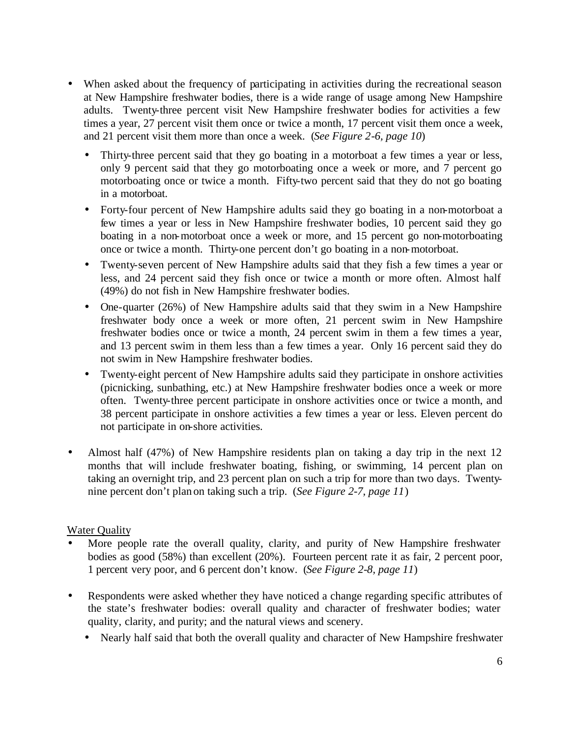- When asked about the frequency of participating in activities during the recreational season at New Hampshire freshwater bodies, there is a wide range of usage among New Hampshire adults. Twenty-three percent visit New Hampshire freshwater bodies for activities a few times a year, 27 percent visit them once or twice a month, 17 percent visit them once a week, and 21 percent visit them more than once a week. (*See Figure 2-6, page 10*)
	- Thirty-three percent said that they go boating in a motorboat a few times a year or less, only 9 percent said that they go motorboating once a week or more, and 7 percent go motorboating once or twice a month. Fifty-two percent said that they do not go boating in a motorboat.
	- Forty-four percent of New Hampshire adults said they go boating in a non-motorboat a few times a year or less in New Hampshire freshwater bodies, 10 percent said they go boating in a non-motorboat once a week or more, and 15 percent go non-motorboating once or twice a month. Thirty-one percent don't go boating in a non-motorboat.
	- Twenty-seven percent of New Hampshire adults said that they fish a few times a year or less, and 24 percent said they fish once or twice a month or more often. Almost half (49%) do not fish in New Hampshire freshwater bodies.
	- One-quarter (26%) of New Hampshire adults said that they swim in a New Hampshire freshwater body once a week or more often, 21 percent swim in New Hampshire freshwater bodies once or twice a month, 24 percent swim in them a few times a year, and 13 percent swim in them less than a few times a year. Only 16 percent said they do not swim in New Hampshire freshwater bodies.
	- Twenty-eight percent of New Hampshire adults said they participate in onshore activities (picnicking, sunbathing, etc.) at New Hampshire freshwater bodies once a week or more often. Twenty-three percent participate in onshore activities once or twice a month, and 38 percent participate in onshore activities a few times a year or less. Eleven percent do not participate in on-shore activities.
- Almost half (47%) of New Hampshire residents plan on taking a day trip in the next 12 months that will include freshwater boating, fishing, or swimming, 14 percent plan on taking an overnight trip, and 23 percent plan on such a trip for more than two days. Twentynine percent don't plan on taking such a trip. (*See Figure 2-7, page 11*)

# Water Quality

- More people rate the overall quality, clarity, and purity of New Hampshire freshwater bodies as good (58%) than excellent (20%). Fourteen percent rate it as fair, 2 percent poor, 1 percent very poor, and 6 percent don't know. (*See Figure 2-8, page 11*)
- Respondents were asked whether they have noticed a change regarding specific attributes of the state's freshwater bodies: overall quality and character of freshwater bodies; water quality, clarity, and purity; and the natural views and scenery.
	- Nearly half said that both the overall quality and character of New Hampshire freshwater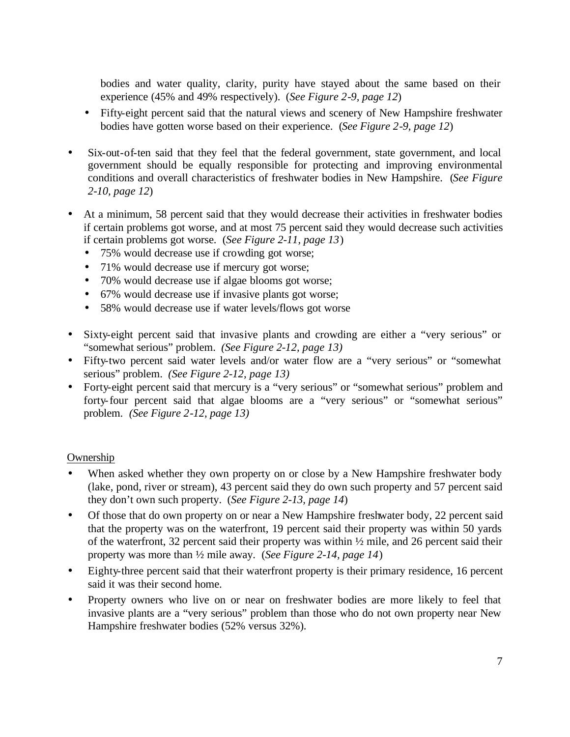bodies and water quality, clarity, purity have stayed about the same based on their experience (45% and 49% respectively). (*See Figure 2-9, page 12*)

- Fifty-eight percent said that the natural views and scenery of New Hampshire freshwater bodies have gotten worse based on their experience. (*See Figure 2-9, page 12*)
- Six-out-of-ten said that they feel that the federal government, state government, and local government should be equally responsible for protecting and improving environmental conditions and overall characteristics of freshwater bodies in New Hampshire. (*See Figure 2-10, page 12*)
- At a minimum, 58 percent said that they would decrease their activities in freshwater bodies if certain problems got worse, and at most 75 percent said they would decrease such activities if certain problems got worse. (*See Figure 2-11, page 13*)
	- 75% would decrease use if crowding got worse;
	- 71% would decrease use if mercury got worse;
	- 70% would decrease use if algae blooms got worse;
	- 67% would decrease use if invasive plants got worse;
	- 58% would decrease use if water levels/flows got worse
- Sixty-eight percent said that invasive plants and crowding are either a "very serious" or "somewhat serious" problem. *(See Figure 2-12, page 13)*
- Fifty-two percent said water levels and/or water flow are a "very serious" or "somewhat serious" problem. *(See Figure 2-12, page 13)*
- Forty-eight percent said that mercury is a "very serious" or "somewhat serious" problem and forty-four percent said that algae blooms are a "very serious" or "somewhat serious" problem. *(See Figure 2-12, page 13)*

## Ownership

- When asked whether they own property on or close by a New Hampshire freshwater body (lake, pond, river or stream), 43 percent said they do own such property and 57 percent said they don't own such property. (*See Figure 2-13, page 14*)
- Of those that do own property on or near a New Hampshire freshwater body, 22 percent said that the property was on the waterfront, 19 percent said their property was within 50 yards of the waterfront, 32 percent said their property was within ½ mile, and 26 percent said their property was more than ½ mile away. (*See Figure 2-14, page 14*)
- Eighty-three percent said that their waterfront property is their primary residence, 16 percent said it was their second home.
- Property owners who live on or near on freshwater bodies are more likely to feel that invasive plants are a "very serious" problem than those who do not own property near New Hampshire freshwater bodies (52% versus 32%).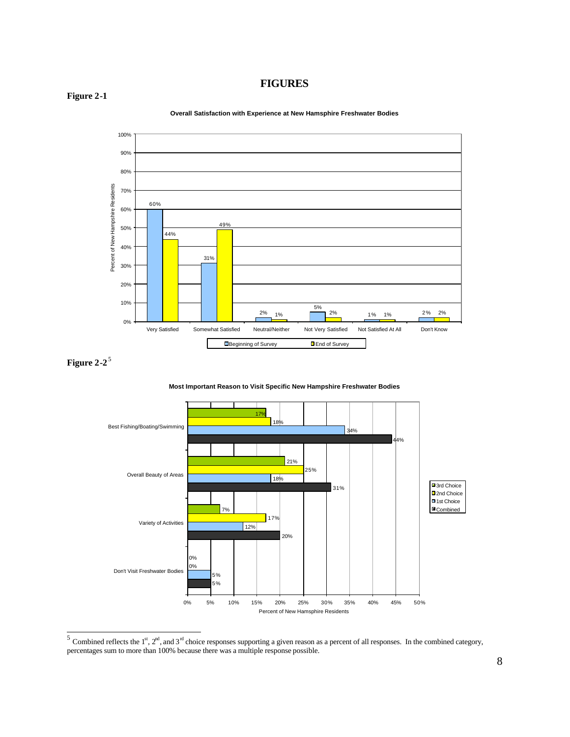## **FIGURES**

#### **Figure 2-1**



**Overall Satisfaction with Experience at New Hamsphire Freshwater Bodies**

**Most Important Reason to Visit Specific New Hampshire Freshwater Bodies**



<sup>&</sup>lt;sup>5</sup> Combined reflects the 1<sup>st</sup>, 2<sup>nd</sup>, and 3<sup>nd</sup> choice responses supporting a given reason as a percent of all responses. In the combined category, percentages sum to more than 100% because there was a multiple response possible.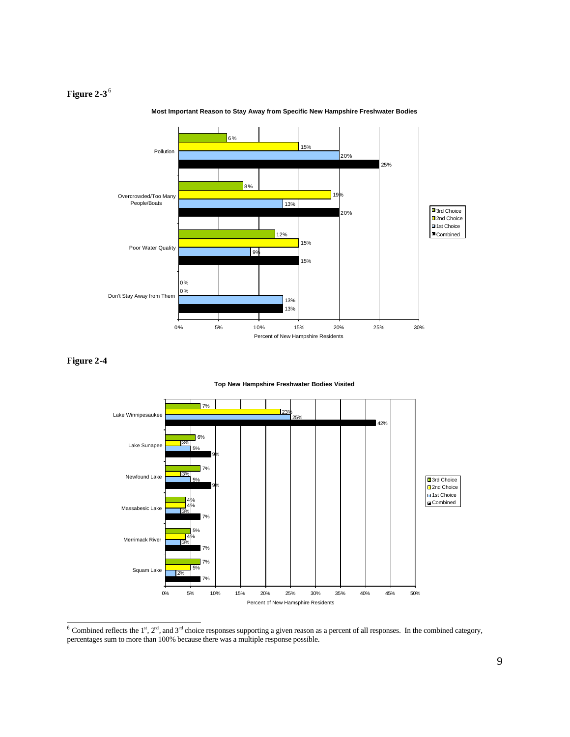

**Most Important Reason to Stay Away from Specific New Hampshire Freshwater Bodies**

#### **Figure 2-4**

l

#### **Top New Hampshire Freshwater Bodies Visited**



<sup>&</sup>lt;sup>6</sup> Combined reflects the 1<sup>st</sup>,  $2<sup>nd</sup>$ , and  $3<sup>nd</sup>$  choice responses supporting a given reason as a percent of all responses. In the combined category, percentages sum to more than 100% because there was a multiple response possible.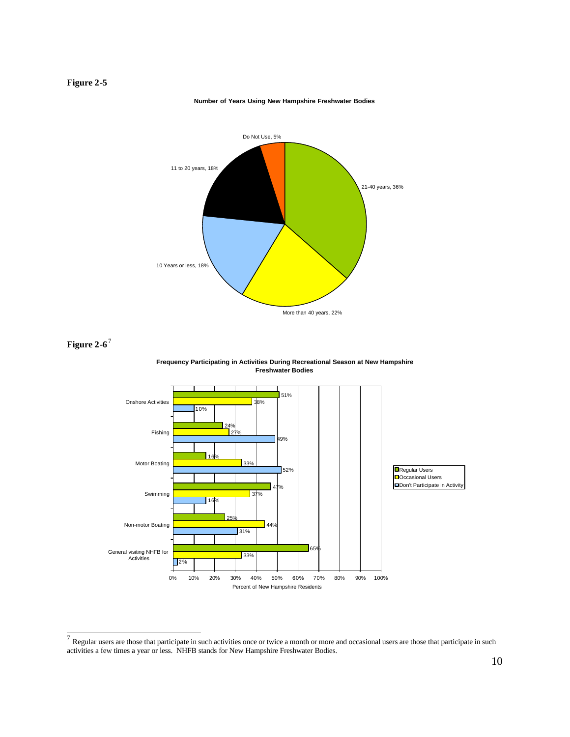

#### **Number of Years Using New Hampshire Freshwater Bodies**



 $^7$  Regular users are those that participate in such activities once or twice a month or more and occasional users are those that participate in such activities a few times a year or less. NHFB stands for New Hampshire Freshwater Bodies.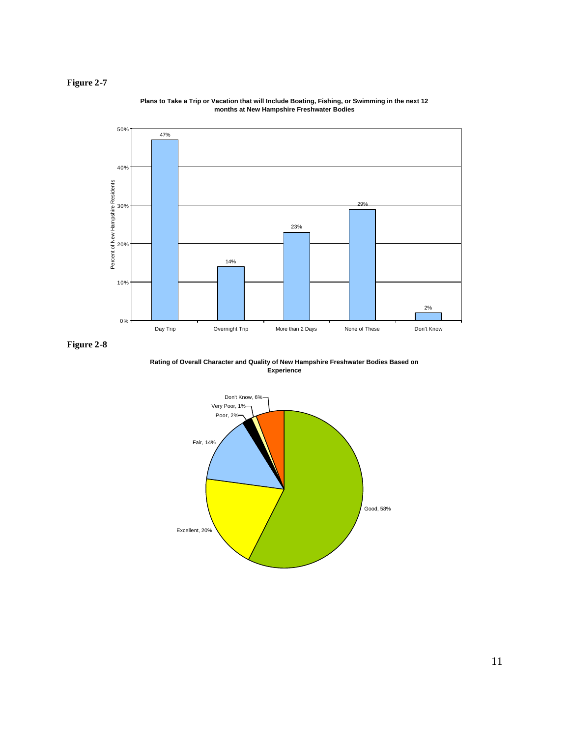

**Plans to Take a Trip or Vacation that will Include Boating, Fishing, or Swimming in the next 12 months at New Hampshire Freshwater Bodies**

**Rating of Overall Character and Quality of New Hampshire Freshwater Bodies Based on Experience**

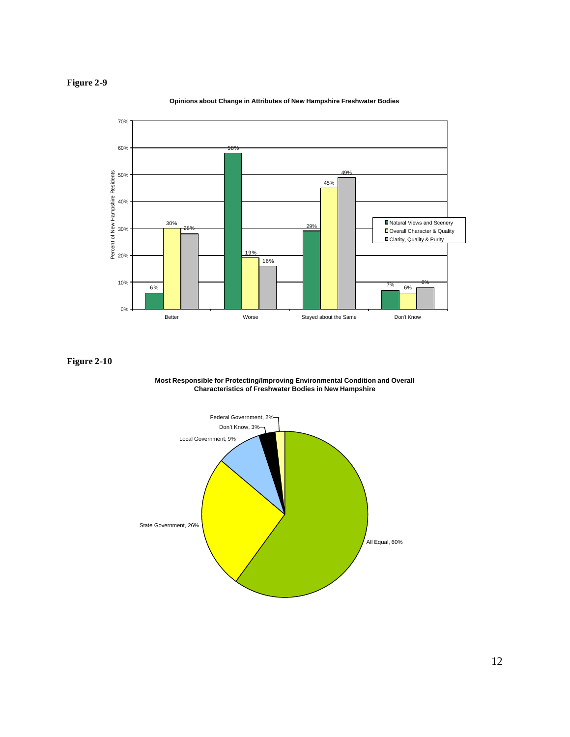**Opinions about Change in Attributes of New Hampshire Freshwater Bodies**





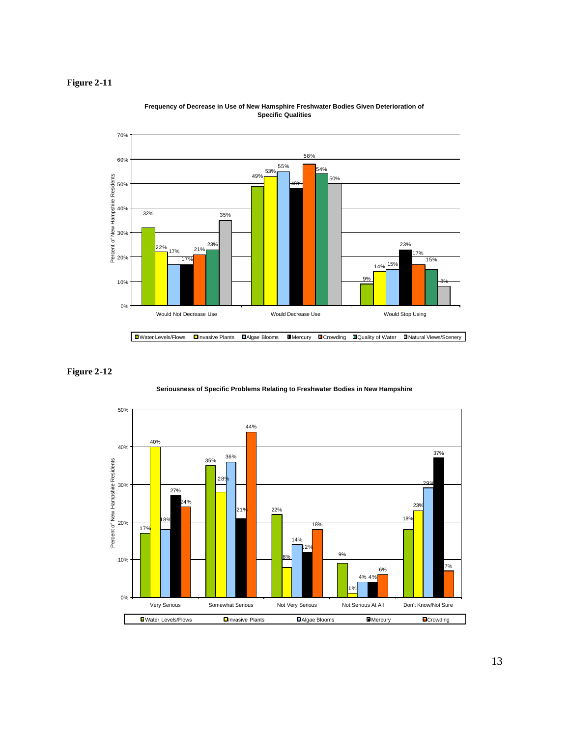





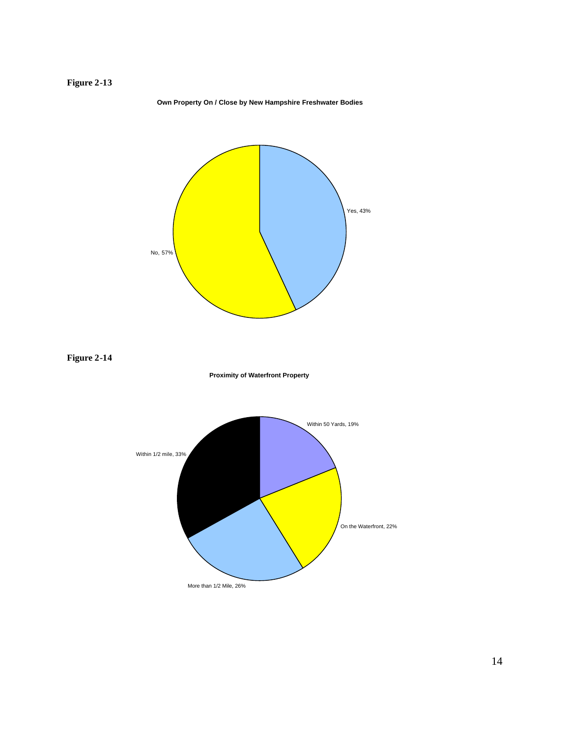#### **Own Property On / Close by New Hampshire Freshwater Bodies**



**Figure 2-14**





14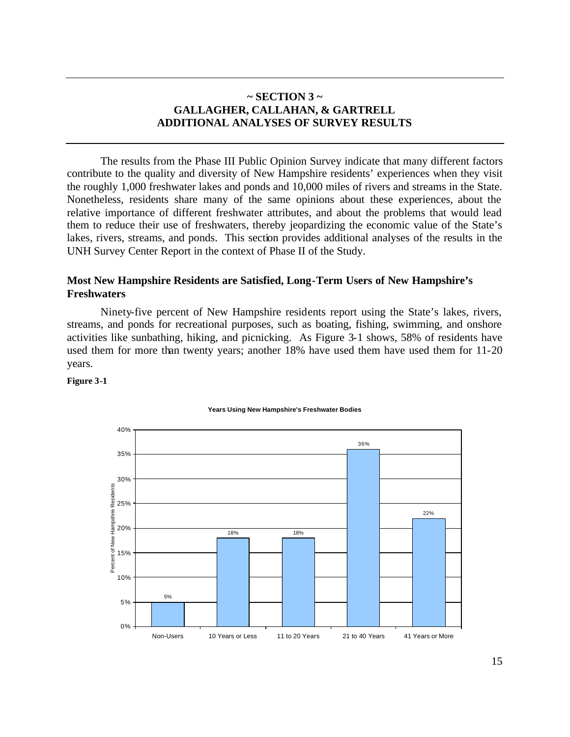## **~ SECTION 3 ~ GALLAGHER, CALLAHAN, & GARTRELL ADDITIONAL ANALYSES OF SURVEY RESULTS**

The results from the Phase III Public Opinion Survey indicate that many different factors contribute to the quality and diversity of New Hampshire residents' experiences when they visit the roughly 1,000 freshwater lakes and ponds and 10,000 miles of rivers and streams in the State. Nonetheless, residents share many of the same opinions about these experiences, about the relative importance of different freshwater attributes, and about the problems that would lead them to reduce their use of freshwaters, thereby jeopardizing the economic value of the State's lakes, rivers, streams, and ponds. This section provides additional analyses of the results in the UNH Survey Center Report in the context of Phase II of the Study.

## **Most New Hampshire Residents are Satisfied, Long-Term Users of New Hampshire's Freshwaters**

Ninety-five percent of New Hampshire residents report using the State's lakes, rivers, streams, and ponds for recreational purposes, such as boating, fishing, swimming, and onshore activities like sunbathing, hiking, and picnicking. As Figure 3-1 shows, 58% of residents have used them for more than twenty years; another 18% have used them have used them for 11-20 years.

#### **Figure 3-1**



#### **Years Using New Hampshire's Freshwater Bodies**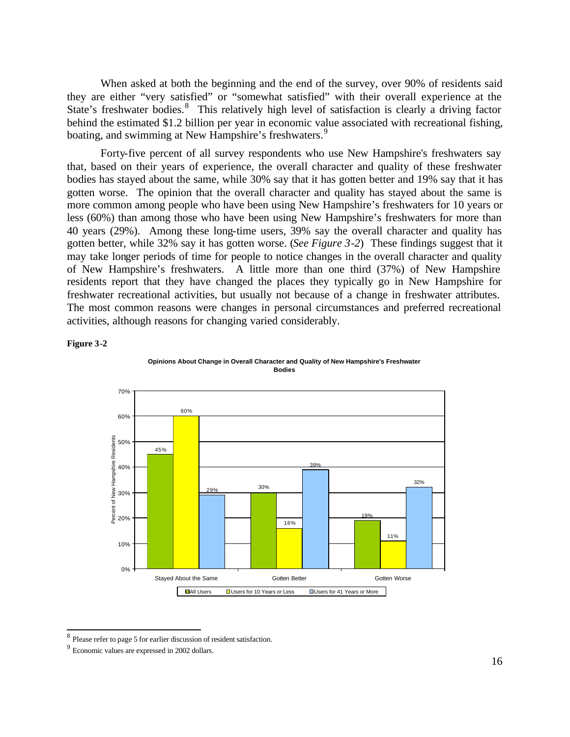When asked at both the beginning and the end of the survey, over 90% of residents said they are either "very satisfied" or "somewhat satisfied" with their overall experience at the State's freshwater bodies.<sup>8</sup> This relatively high level of satisfaction is clearly a driving factor behind the estimated \$1.2 billion per year in economic value associated with recreational fishing, boating, and swimming at New Hampshire's freshwaters.<sup>9</sup>

Forty-five percent of all survey respondents who use New Hampshire's freshwaters say that, based on their years of experience, the overall character and quality of these freshwater bodies has stayed about the same, while 30% say that it has gotten better and 19% say that it has gotten worse. The opinion that the overall character and quality has stayed about the same is more common among people who have been using New Hampshire's freshwaters for 10 years or less (60%) than among those who have been using New Hampshire's freshwaters for more than 40 years (29%). Among these long-time users, 39% say the overall character and quality has gotten better, while 32% say it has gotten worse. (*See Figure 3-2*) These findings suggest that it may take longer periods of time for people to notice changes in the overall character and quality of New Hampshire's freshwaters. A little more than one third (37%) of New Hampshire residents report that they have changed the places they typically go in New Hampshire for freshwater recreational activities, but usually not because of a change in freshwater attributes. The most common reasons were changes in personal circumstances and preferred recreational activities, although reasons for changing varied considerably.

### **Figure 3-2**

l





<sup>&</sup>lt;sup>8</sup> Please refer to page 5 for earlier discussion of resident satisfaction.

<sup>9</sup> Economic values are expressed in 2002 dollars.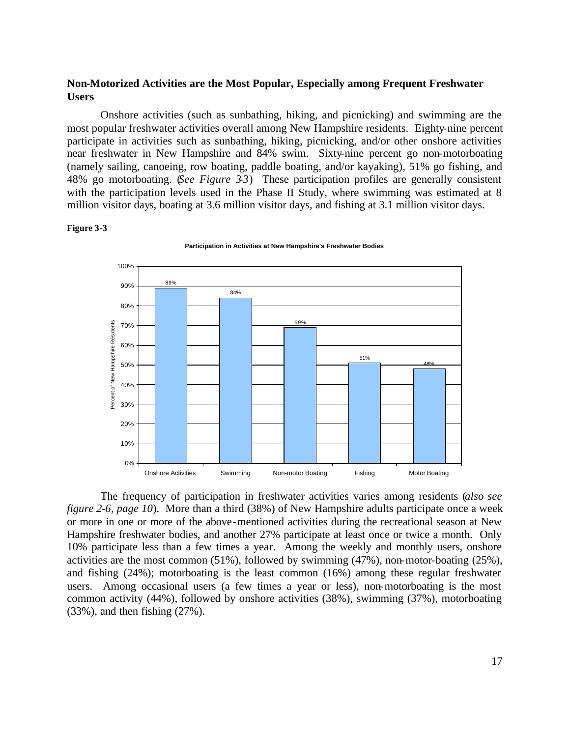## **Non-Motorized Activities are the Most Popular, Especially among Frequent Freshwater Users**

Onshore activities (such as sunbathing, hiking, and picnicking) and swimming are the most popular freshwater activities overall among New Hampshire residents. Eighty-nine percent participate in activities such as sunbathing, hiking, picnicking, and/or other onshore activities near freshwater in New Hampshire and 84% swim. Sixty-nine percent go non-motorboating (namely sailing, canoeing, row boating, paddle boating, and/or kayaking), 51% go fishing, and 48% go motorboating. (*See Figure 3-3*) These participation profiles are generally consistent with the participation levels used in the Phase II Study, where swimming was estimated at 8 million visitor days, boating at 3.6 million visitor days, and fishing at 3.1 million visitor days.

#### **Figure 3-3**



**Participation in Activities at New Hampshire's Freshwater Bodies**

The frequency of participation in freshwater activities varies among residents (*also see figure 2-6, page 10*). More than a third (38%) of New Hampshire adults participate once a week or more in one or more of the above-mentioned activities during the recreational season at New Hampshire freshwater bodies, and another 27% participate at least once or twice a month. Only 10% participate less than a few times a year. Among the weekly and monthly users, onshore activities are the most common (51%), followed by swimming (47%), non-motor-boating (25%), and fishing (24%); motorboating is the least common (16%) among these regular freshwater users. Among occasional users (a few times a year or less), non-motorboating is the most common activity (44%), followed by onshore activities (38%), swimming (37%), motorboating (33%), and then fishing (27%).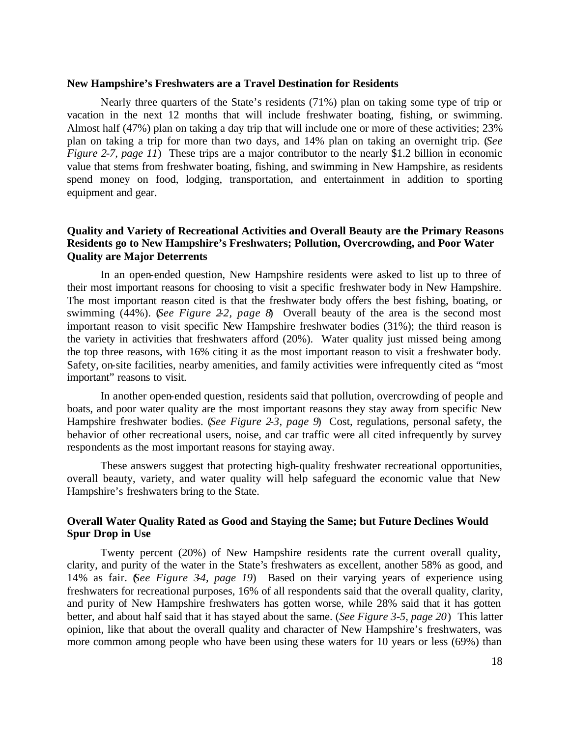#### **New Hampshire's Freshwaters are a Travel Destination for Residents**

Nearly three quarters of the State's residents (71%) plan on taking some type of trip or vacation in the next 12 months that will include freshwater boating, fishing, or swimming. Almost half (47%) plan on taking a day trip that will include one or more of these activities; 23% plan on taking a trip for more than two days, and 14% plan on taking an overnight trip. (*See Figure 2-7, page 11*) These trips are a major contributor to the nearly \$1.2 billion in economic value that stems from freshwater boating, fishing, and swimming in New Hampshire, as residents spend money on food, lodging, transportation, and entertainment in addition to sporting equipment and gear.

## **Quality and Variety of Recreational Activities and Overall Beauty are the Primary Reasons Residents go to New Hampshire's Freshwaters; Pollution, Overcrowding, and Poor Water Quality are Major Deterrents**

In an open-ended question, New Hampshire residents were asked to list up to three of their most important reasons for choosing to visit a specific freshwater body in New Hampshire. The most important reason cited is that the freshwater body offers the best fishing, boating, or swimming (44%). (*See Figure 2-2, page 8*) Overall beauty of the area is the second most important reason to visit specific New Hampshire freshwater bodies (31%); the third reason is the variety in activities that freshwaters afford (20%). Water quality just missed being among the top three reasons, with 16% citing it as the most important reason to visit a freshwater body. Safety, on-site facilities, nearby amenities, and family activities were infrequently cited as "most important" reasons to visit.

In another open-ended question, residents said that pollution, overcrowding of people and boats, and poor water quality are the most important reasons they stay away from specific New Hampshire freshwater bodies. (*See Figure 2-3, page 9*) Cost, regulations, personal safety, the behavior of other recreational users, noise, and car traffic were all cited infrequently by survey respondents as the most important reasons for staying away.

These answers suggest that protecting high-quality freshwater recreational opportunities, overall beauty, variety, and water quality will help safeguard the economic value that New Hampshire's freshwaters bring to the State.

## **Overall Water Quality Rated as Good and Staying the Same; but Future Declines Would Spur Drop in Use**

Twenty percent (20%) of New Hampshire residents rate the current overall quality, clarity, and purity of the water in the State's freshwaters as excellent, another 58% as good, and 14% as fair. (*See Figure 3-4, page 19*) Based on their varying years of experience using freshwaters for recreational purposes, 16% of all respondents said that the overall quality, clarity, and purity of New Hampshire freshwaters has gotten worse, while 28% said that it has gotten better, and about half said that it has stayed about the same. (*See Figure 3-5, page 20*) This latter opinion, like that about the overall quality and character of New Hampshire's freshwaters, was more common among people who have been using these waters for 10 years or less (69%) than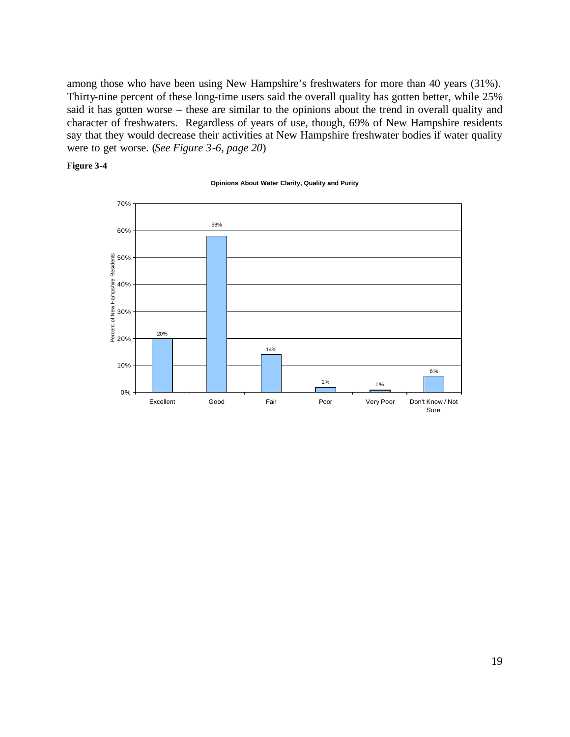among those who have been using New Hampshire's freshwaters for more than 40 years (31%). Thirty-nine percent of these long-time users said the overall quality has gotten better, while 25% said it has gotten worse – these are similar to the opinions about the trend in overall quality and character of freshwaters. Regardless of years of use, though, 69% of New Hampshire residents say that they would decrease their activities at New Hampshire freshwater bodies if water quality were to get worse. (*See Figure 3-6, page 20*)

#### **Figure 3-4**

#### **Opinions About Water Clarity, Quality and Purity**

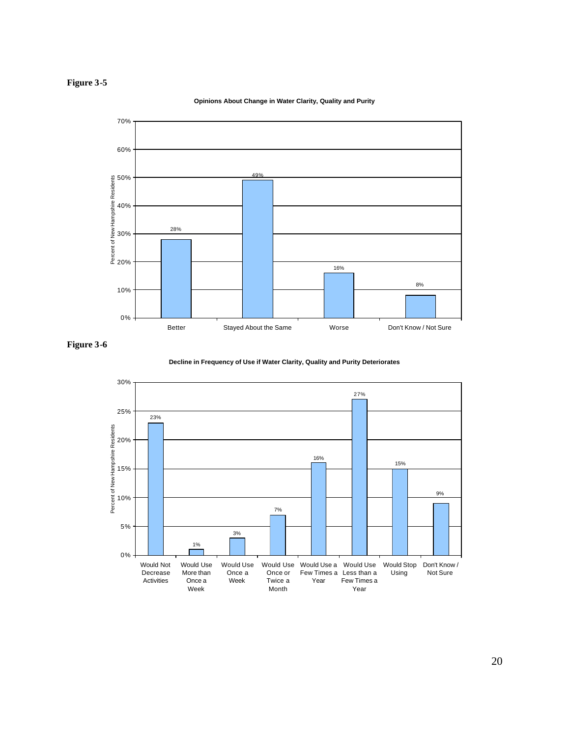## **Figure 3-5**

#### **Opinions About Change in Water Clarity, Quality and Purity**





**Decline in Frequency of Use if Water Clarity, Quality and Purity Deteriorates**

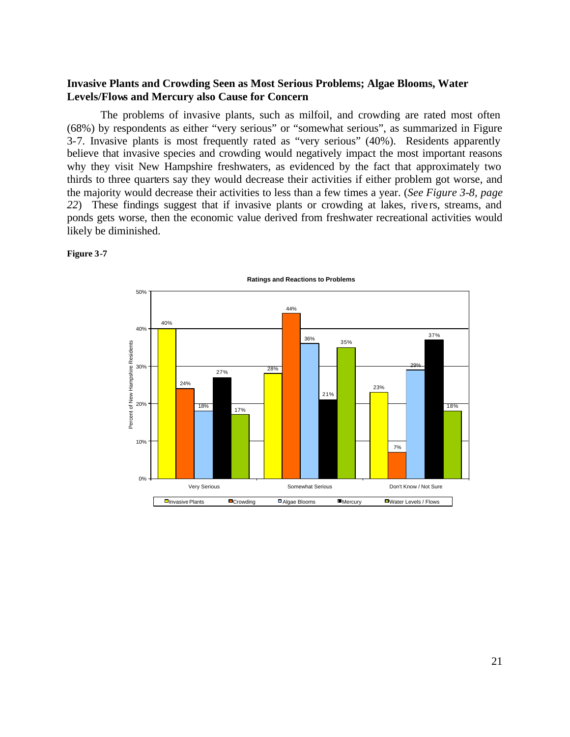## **Invasive Plants and Crowding Seen as Most Serious Problems; Algae Blooms, Water Levels/Flows and Mercury also Cause for Concern**

The problems of invasive plants, such as milfoil, and crowding are rated most often (68%) by respondents as either "very serious" or "somewhat serious", as summarized in Figure 3-7. Invasive plants is most frequently rated as "very serious" (40%). Residents apparently believe that invasive species and crowding would negatively impact the most important reasons why they visit New Hampshire freshwaters, as evidenced by the fact that approximately two thirds to three quarters say they would decrease their activities if either problem got worse, and the majority would decrease their activities to less than a few times a year. (*See Figure 3-8, page*  22) These findings suggest that if invasive plants or crowding at lakes, rivers, streams, and ponds gets worse, then the economic value derived from freshwater recreational activities would likely be diminished.



**Figure 3-7**

21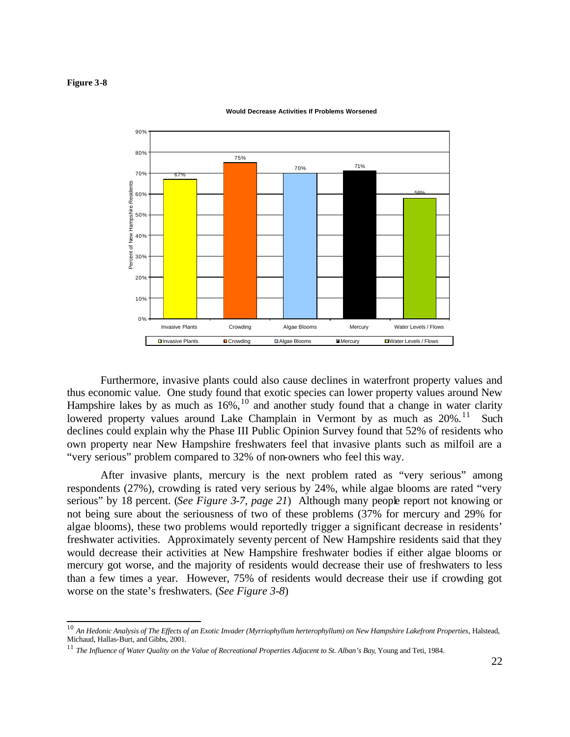#### **Figure 3-8**

l



**Would Decrease Activities If Problems Worsened**

Furthermore, invasive plants could also cause declines in waterfront property values and thus economic value. One study found that exotic species can lower property values around New Hampshire lakes by as much as  $16\%,^{10}$  and another study found that a change in water clarity lowered property values around Lake Champlain in Vermont by as much as 20%.<sup>11</sup> Such declines could explain why the Phase III Public Opinion Survey found that 52% of residents who own property near New Hampshire freshwaters feel that invasive plants such as milfoil are a "very serious" problem compared to 32% of non-owners who feel this way.

After invasive plants, mercury is the next problem rated as "very serious" among respondents (27%), crowding is rated very serious by 24%, while algae blooms are rated "very serious" by 18 percent. (*See Figure 3-7, page 21*) Although many people report not knowing or not being sure about the seriousness of two of these problems (37% for mercury and 29% for algae blooms), these two problems would reportedly trigger a significant decrease in residents' freshwater activities. Approximately seventy percent of New Hampshire residents said that they would decrease their activities at New Hampshire freshwater bodies if either algae blooms or mercury got worse, and the majority of residents would decrease their use of freshwaters to less than a few times a year. However, 75% of residents would decrease their use if crowding got worse on the state's freshwaters. (*See Figure 3-8*)

<sup>10</sup> *An Hedonic Analysis of The Effects of an Exotic Invader (Myrriophyllum herterophyllum) on New Hampshire Lakefront Properties*, Halstead, Michaud, Hallas-Burt, and Gibbs, 2001.

<sup>11</sup> *The Influence of Water Quality on the Value of Recreational Properties Adjacent to St. Alban's Bay*, Young and Teti, 1984.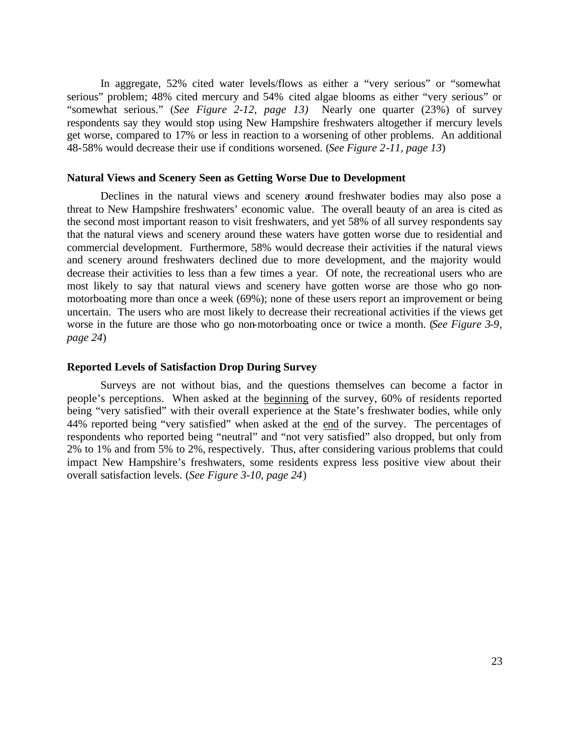In aggregate, 52% cited water levels/flows as either a "very serious" or "somewhat serious" problem; 48% cited mercury and 54% cited algae blooms as either "very serious" or "somewhat serious." (*See Figure 2-12, page 13)* Nearly one quarter (23%) of survey respondents say they would stop using New Hampshire freshwaters altogether if mercury levels get worse, compared to 17% or less in reaction to a worsening of other problems. An additional 48-58% would decrease their use if conditions worsened. (*See Figure 2-11, page 13*)

#### **Natural Views and Scenery Seen as Getting Worse Due to Development**

Declines in the natural views and scenery around freshwater bodies may also pose a threat to New Hampshire freshwaters' economic value. The overall beauty of an area is cited as the second most important reason to visit freshwaters, and yet 58% of all survey respondents say that the natural views and scenery around these waters have gotten worse due to residential and commercial development. Furthermore, 58% would decrease their activities if the natural views and scenery around freshwaters declined due to more development, and the majority would decrease their activities to less than a few times a year. Of note, the recreational users who are most likely to say that natural views and scenery have gotten worse are those who go nonmotorboating more than once a week (69%); none of these users report an improvement or being uncertain. The users who are most likely to decrease their recreational activities if the views get worse in the future are those who go non-motorboating once or twice a month. (*See Figure 3-9, page 24*)

#### **Reported Levels of Satisfaction Drop During Survey**

Surveys are not without bias, and the questions themselves can become a factor in people's perceptions. When asked at the beginning of the survey, 60% of residents reported being "very satisfied" with their overall experience at the State's freshwater bodies, while only 44% reported being "very satisfied" when asked at the end of the survey. The percentages of respondents who reported being "neutral" and "not very satisfied" also dropped, but only from 2% to 1% and from 5% to 2%, respectively. Thus, after considering various problems that could impact New Hampshire's freshwaters, some residents express less positive view about their overall satisfaction levels. (*See Figure 3-10, page 24*)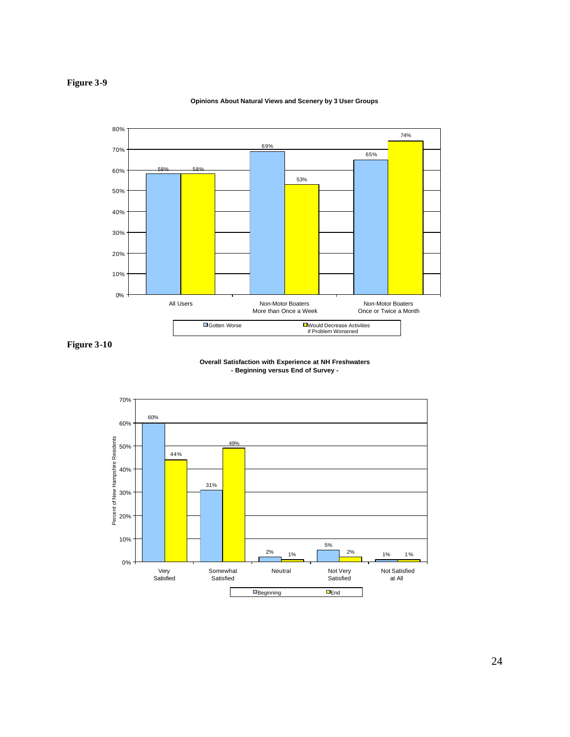## **Figure 3-9**

#### **Opinions About Natural Views and Scenery by 3 User Groups**



**Figure 3-10**

#### **Overall Satisfaction with Experience at NH Freshwaters - Beginning versus End of Survey -**

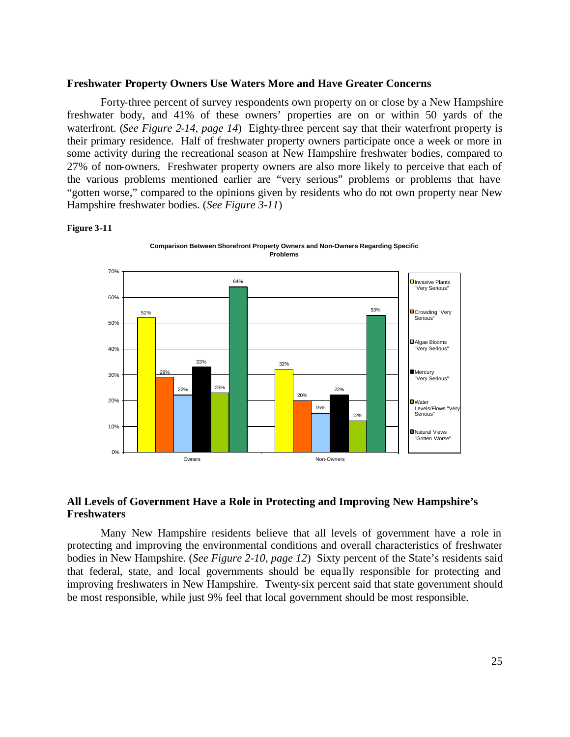#### **Freshwater Property Owners Use Waters More and Have Greater Concerns**

Forty-three percent of survey respondents own property on or close by a New Hampshire freshwater body, and 41% of these owners' properties are on or within 50 yards of the waterfront. (*See Figure 2-14, page 14*) Eighty-three percent say that their waterfront property is their primary residence. Half of freshwater property owners participate once a week or more in some activity during the recreational season at New Hampshire freshwater bodies, compared to 27% of non-owners. Freshwater property owners are also more likely to perceive that each of the various problems mentioned earlier are "very serious" problems or problems that have "gotten worse," compared to the opinions given by residents who do not own property near New Hampshire freshwater bodies. (*See Figure 3-11*)

#### **Figure 3-11**



## **All Levels of Government Have a Role in Protecting and Improving New Hampshire's Freshwaters**

Many New Hampshire residents believe that all levels of government have a role in protecting and improving the environmental conditions and overall characteristics of freshwater bodies in New Hampshire. (*See Figure 2-10, page 12*) Sixty percent of the State's residents said that federal, state, and local governments should be equa lly responsible for protecting and improving freshwaters in New Hampshire. Twenty-six percent said that state government should be most responsible, while just 9% feel that local government should be most responsible.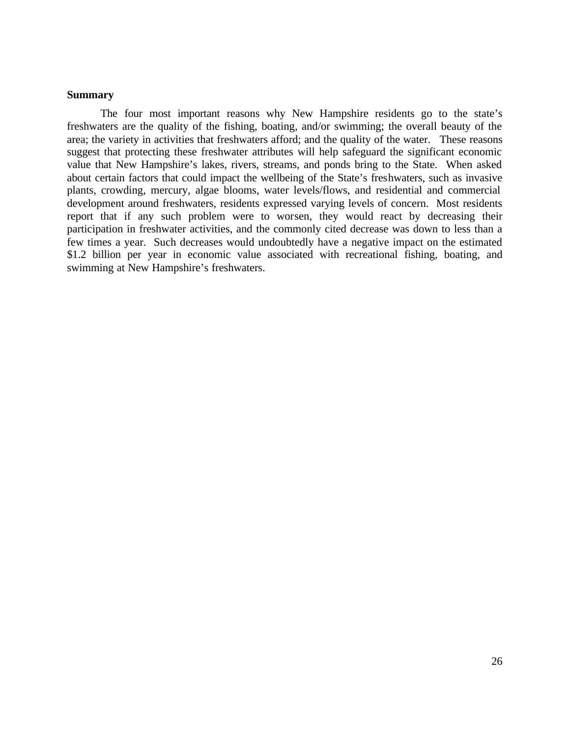## **Summary**

The four most important reasons why New Hampshire residents go to the state's freshwaters are the quality of the fishing, boating, and/or swimming; the overall beauty of the area; the variety in activities that freshwaters afford; and the quality of the water. These reasons suggest that protecting these freshwater attributes will help safeguard the significant economic value that New Hampshire's lakes, rivers, streams, and ponds bring to the State. When asked about certain factors that could impact the wellbeing of the State's freshwaters, such as invasive plants, crowding, mercury, algae blooms, water levels/flows, and residential and commercial development around freshwaters, residents expressed varying levels of concern. Most residents report that if any such problem were to worsen, they would react by decreasing their participation in freshwater activities, and the commonly cited decrease was down to less than a few times a year. Such decreases would undoubtedly have a negative impact on the estimated \$1.2 billion per year in economic value associated with recreational fishing, boating, and swimming at New Hampshire's freshwaters.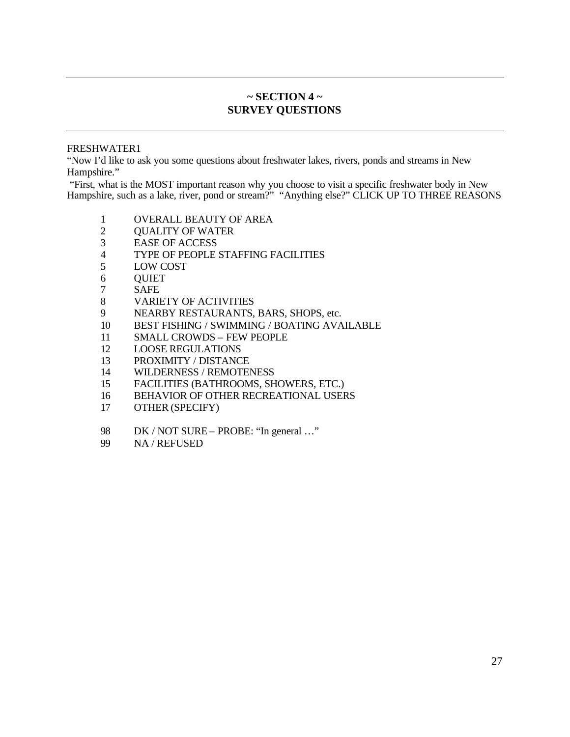## **~ SECTION 4 ~ SURVEY QUESTIONS**

## FRESHWATER1

"Now I'd like to ask you some questions about freshwater lakes, rivers, ponds and streams in New Hampshire."

 "First, what is the MOST important reason why you choose to visit a specific freshwater body in New Hampshire, such as a lake, river, pond or stream?" "Anything else?" CLICK UP TO THREE REASONS

- 1 OVERALL BEAUTY OF AREA<br>2 OUALITY OF WATER
- QUALITY OF WATER
- EASE OF ACCESS
- TYPE OF PEOPLE STAFFING FACILITIES
- LOW COST
- QUIET
- SAFE
- VARIETY OF ACTIVITIES
- NEARBY RESTAURANTS, BARS, SHOPS, etc.
- BEST FISHING / SWIMMING / BOATING AVAILABLE
- SMALL CROWDS FEW PEOPLE
- LOOSE REGULATIONS
- PROXIMITY / DISTANCE
- WILDERNESS / REMOTENESS
- FACILITIES (BATHROOMS, SHOWERS, ETC.)
- BEHAVIOR OF OTHER RECREATIONAL USERS
- OTHER (SPECIFY)
- 98 DK / NOT SURE PROBE: "In general ..."
- NA / REFUSED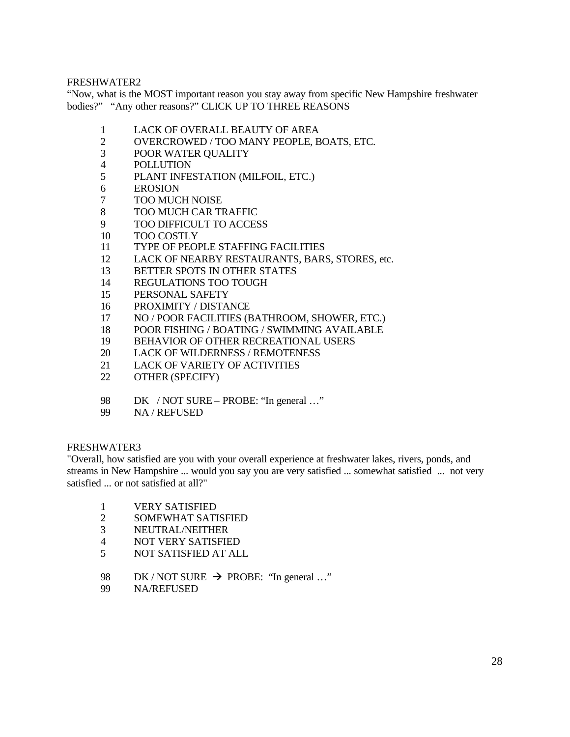"Now, what is the MOST important reason you stay away from specific New Hampshire freshwater bodies?" "Any other reasons?" CLICK UP TO THREE REASONS

- LACK OF OVERALL BEAUTY OF AREA
- OVERCROWED / TOO MANY PEOPLE, BOATS, ETC.
- POOR WATER QUALITY
- POLLUTION
- PLANT INFESTATION (MILFOIL, ETC.)
- EROSION
- TOO MUCH NOISE
- TOO MUCH CAR TRAFFIC
- TOO DIFFICULT TO ACCESS
- TOO COSTLY
- TYPE OF PEOPLE STAFFING FACILITIES
- LACK OF NEARBY RESTAURANTS, BARS, STORES, etc.
- BETTER SPOTS IN OTHER STATES
- REGULATIONS TOO TOUGH
- PERSONAL SAFETY
- PROXIMITY / DISTANCE
- NO / POOR FACILITIES (BATHROOM, SHOWER, ETC.)
- POOR FISHING / BOATING / SWIMMING AVAILABLE
- BEHAVIOR OF OTHER RECREATIONAL USERS
- LACK OF WILDERNESS / REMOTENESS
- LACK OF VARIETY OF ACTIVITIES
- OTHER (SPECIFY)
- 98 DK / NOT SURE PROBE: "In general ..."
- NA / REFUSED

## FRESHWATER3

"Overall, how satisfied are you with your overall experience at freshwater lakes, rivers, ponds, and streams in New Hampshire ... would you say you are very satisfied ... somewhat satisfied ... not very satisfied ... or not satisfied at all?"

- 1 VERY SATISFIED<br>2 SOMEWHAT SATI
- SOMEWHAT SATISFIED
- NEUTRAL/NEITHER
- NOT VERY SATISFIED
- NOT SATISFIED AT ALL
- 98 DK / NOT SURE  $\rightarrow$  PROBE: "In general ..."
- NA/REFUSED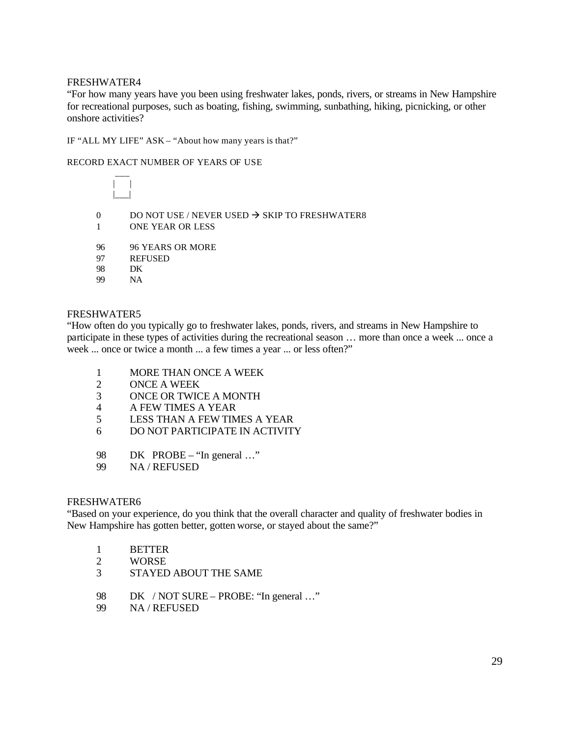"For how many years have you been using freshwater lakes, ponds, rivers, or streams in New Hampshire for recreational purposes, such as boating, fishing, swimming, sunbathing, hiking, picnicking, or other onshore activities?

IF "ALL MY LIFE" ASK – "About how many years is that?"

#### RECORD EXACT NUMBER OF YEARS OF USE

| | |\_\_\_|

 $\overline{\phantom{a}}$ 

- 0 DO NOT USE / NEVER USED  $\rightarrow$  SKIP TO FRESHWATER8
- 1 ONE YEAR OR LESS
- 96 96 YEARS OR MORE
- 97 REFUSED
- 98 DK
- 99 NA

#### FRESHWATER5

"How often do you typically go to freshwater lakes, ponds, rivers, and streams in New Hampshire to participate in these types of activities during the recreational season … more than once a week ... once a week ... once or twice a month ... a few times a year ... or less often?"

- 1 MORE THAN ONCE A WEEK
- 2 ONCE A WEEK
- 3 ONCE OR TWICE A MONTH
- 4 A FEW TIMES A YEAR
- 5 LESS THAN A FEW TIMES A YEAR
- 6 DO NOT PARTICIPATE IN ACTIVITY
- 98 DK PROBE "In general ..."
- 99 NA / REFUSED

#### FRESHWATER6

"Based on your experience, do you think that the overall character and quality of freshwater bodies in New Hampshire has gotten better, gotten worse, or stayed about the same?"

- 1 BETTER
- 2 WORSE
- 3 STAYED ABOUT THE SAME
- 98 DK / NOT SURE PROBE: "In general ..."
- 99 NA / REFUSED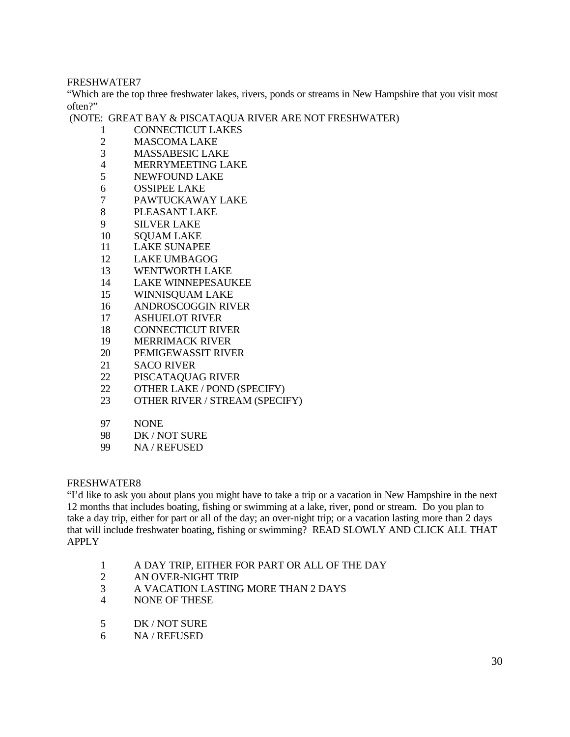"Which are the top three freshwater lakes, rivers, ponds or streams in New Hampshire that you visit most often?"

(NOTE: GREAT BAY & PISCATAQUA RIVER ARE NOT FRESHWATER)

- CONNECTICUT LAKES
- MASCOMA LAKE
- MASSABESIC LAKE
- MERRYMEETING LAKE
- NEWFOUND LAKE
- OSSIPEE LAKE
- PAWTUCKAWAY LAKE
- PLEASANT LAKE
- SILVER LAKE
- SQUAM LAKE
- LAKE SUNAPEE
- LAKE UMBAGOG
- WENTWORTH LAKE
- LAKE WINNEPESAUKEE
- WINNISQUAM LAKE
- ANDROSCOGGIN RIVER
- ASHUELOT RIVER
- CONNECTICUT RIVER
- MERRIMACK RIVER
- PEMIGEWASSIT RIVER
- SACO RIVER
- PISCATAQUAG RIVER
- OTHER LAKE / POND (SPECIFY)
- OTHER RIVER / STREAM (SPECIFY)
- NONE
- DK / NOT SURE
- NA / REFUSED

## FRESHWATER8

"I'd like to ask you about plans you might have to take a trip or a vacation in New Hampshire in the next 12 months that includes boating, fishing or swimming at a lake, river, pond or stream. Do you plan to take a day trip, either for part or all of the day; an over-night trip; or a vacation lasting more than 2 days that will include freshwater boating, fishing or swimming? READ SLOWLY AND CLICK ALL THAT APPLY

- A DAY TRIP, EITHER FOR PART OR ALL OF THE DAY
- AN OVER-NIGHT TRIP
- A VACATION LASTING MORE THAN 2 DAYS
- NONE OF THESE
- DK / NOT SURE
- NA / REFUSED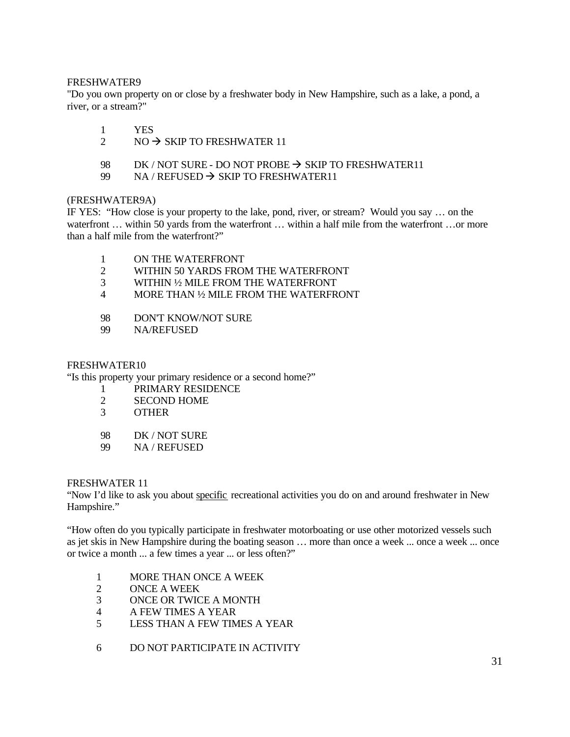"Do you own property on or close by a freshwater body in New Hampshire, such as a lake, a pond, a river, or a stream?"

- 1 YES
- 2 NO  $\rightarrow$  SKIP TO FRESHWATER 11
- 98 DK / NOT SURE DO NOT PROBE  $\rightarrow$  SKIP TO FRESHWATER11
- 99 NA / REFUSED  $\rightarrow$  SKIP TO FRESHWATER11

## (FRESHWATER9A)

IF YES: "How close is your property to the lake, pond, river, or stream? Would you say … on the waterfront ... within 50 yards from the waterfront ... within a half mile from the waterfront ... or more than a half mile from the waterfront?"

- 1 ON THE WATERFRONT
- 2 WITHIN 50 YARDS FROM THE WATERFRONT
- 3 WITHIN ½ MILE FROM THE WATERFRONT
- 4 MORE THAN ½ MILE FROM THE WATERFRONT
- 98 DON'T KNOW/NOT SURE
- 99 NA/REFUSED

## FRESHWATER10

"Is this property your primary residence or a second home?"

- 1 PRIMARY RESIDENCE
- 2 SECOND HOME
- 3 OTHER
- 98 DK / NOT SURE
- 99 NA / REFUSED

## FRESHWATER 11

"Now I'd like to ask you about specific recreational activities you do on and around freshwater in New Hampshire."

"How often do you typically participate in freshwater motorboating or use other motorized vessels such as jet skis in New Hampshire during the boating season … more than once a week ... once a week ... once or twice a month ... a few times a year ... or less often?"

- 1 MORE THAN ONCE A WEEK
- 2 ONCE A WEEK
- 3 ONCE OR TWICE A MONTH
- 4 A FEW TIMES A YEAR
- 5 LESS THAN A FEW TIMES A YEAR
- 6 DO NOT PARTICIPATE IN ACTIVITY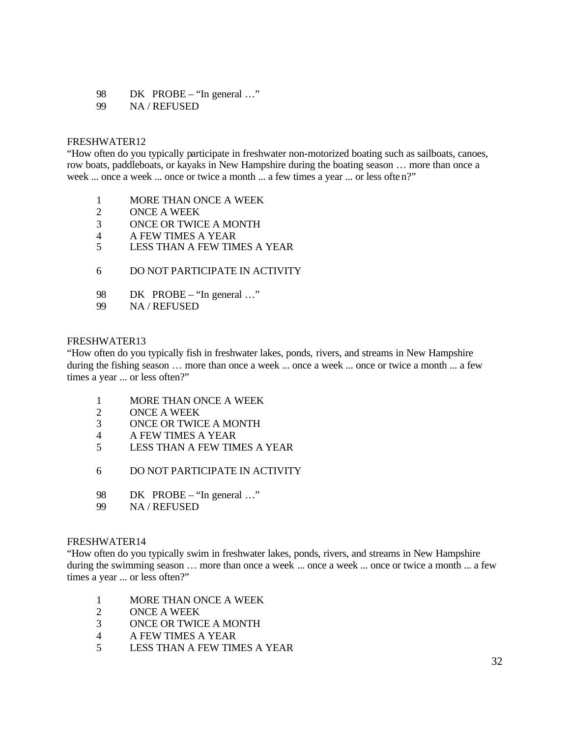- 98 DK PROBE "In general ..."
- 99 NA / REFUSED

"How often do you typically participate in freshwater non-motorized boating such as sailboats, canoes, row boats, paddleboats, or kayaks in New Hampshire during the boating season … more than once a week ... once a week ... once or twice a month ... a few times a year ... or less often?"

- 1 MORE THAN ONCE A WEEK
- 2 ONCE A WEEK
- 3 ONCE OR TWICE A MONTH
- 4 A FEW TIMES A YEAR
- 5 LESS THAN A FEW TIMES A YEAR
- 6 DO NOT PARTICIPATE IN ACTIVITY
- 98 DK PROBE "In general ..."
- 99 NA / REFUSED

#### FRESHWATER13

"How often do you typically fish in freshwater lakes, ponds, rivers, and streams in New Hampshire during the fishing season … more than once a week ... once a week ... once or twice a month ... a few times a year ... or less often?"

- 1 MORE THAN ONCE A WEEK
- 2 ONCE A WEEK
- 3 ONCE OR TWICE A MONTH
- 4 A FEW TIMES A YEAR
- 5 LESS THAN A FEW TIMES A YEAR
- 6 DO NOT PARTICIPATE IN ACTIVITY
- 98 DK PROBE "In general ..."
- 99 NA / REFUSED

#### FRESHWATER14

"How often do you typically swim in freshwater lakes, ponds, rivers, and streams in New Hampshire during the swimming season … more than once a week ... once a week ... once or twice a month ... a few times a year ... or less often?"

- 1 MORE THAN ONCE A WEEK
- 2 ONCE A WEEK
- 3 ONCE OR TWICE A MONTH
- 4 A FEW TIMES A YEAR
- 5 LESS THAN A FEW TIMES A YEAR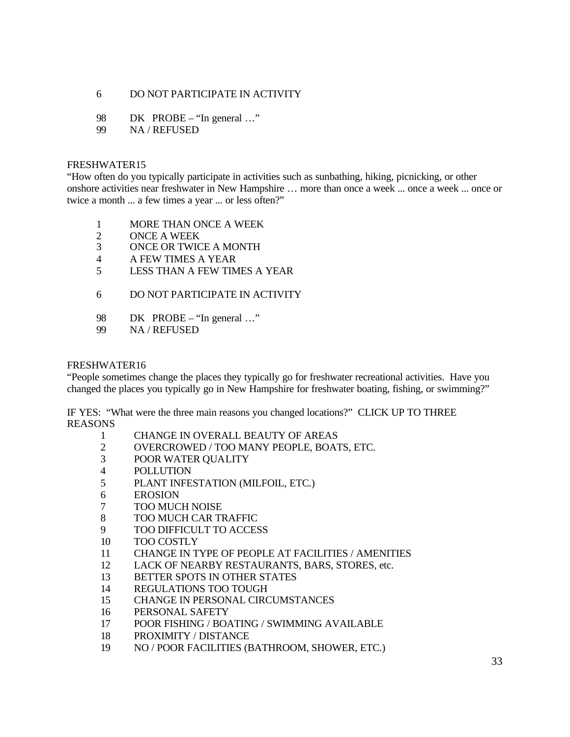## DO NOT PARTICIPATE IN ACTIVITY

- 98 DK PROBE "In general ..."
- NA / REFUSED

### FRESHWATER15

"How often do you typically participate in activities such as sunbathing, hiking, picnicking, or other onshore activities near freshwater in New Hampshire … more than once a week ... once a week ... once or twice a month ... a few times a year ... or less often?"

- MORE THAN ONCE A WEEK
- ONCE A WEEK
- ONCE OR TWICE A MONTH
- A FEW TIMES A YEAR
- LESS THAN A FEW TIMES A YEAR
- DO NOT PARTICIPATE IN ACTIVITY
- 98 DK PROBE "In general ..."
- NA / REFUSED

### FRESHWATER16

"People sometimes change the places they typically go for freshwater recreational activities. Have you changed the places you typically go in New Hampshire for freshwater boating, fishing, or swimming?"

IF YES: "What were the three main reasons you changed locations?" CLICK UP TO THREE REASONS

- CHANGE IN OVERALL BEAUTY OF AREAS
- OVERCROWED / TOO MANY PEOPLE, BOATS, ETC.
- POOR WATER QUALITY
- POLLUTION
- PLANT INFESTATION (MILFOIL, ETC.)
- EROSION
- TOO MUCH NOISE
- TOO MUCH CAR TRAFFIC
- TOO DIFFICULT TO ACCESS
- TOO COSTLY
- CHANGE IN TYPE OF PEOPLE AT FACILITIES / AMENITIES
- LACK OF NEARBY RESTAURANTS, BARS, STORES, etc.
- BETTER SPOTS IN OTHER STATES
- REGULATIONS TOO TOUGH
- CHANGE IN PERSONAL CIRCUMSTANCES
- PERSONAL SAFETY
- POOR FISHING / BOATING / SWIMMING AVAILABLE
- PROXIMITY / DISTANCE
- NO / POOR FACILITIES (BATHROOM, SHOWER, ETC.)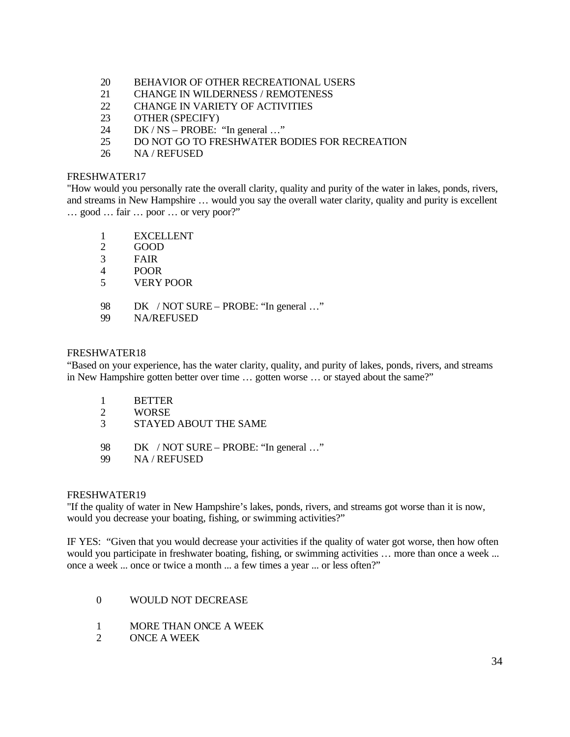- 20 BEHAVIOR OF OTHER RECREATIONAL USERS
- 21 CHANGE IN WILDERNESS / REMOTENESS
- 22 CHANGE IN VARIETY OF ACTIVITIES
- 23 OTHER (SPECIFY)
- 24 DK / NS PROBE: "In general …"
- 25 DO NOT GO TO FRESHWATER BODIES FOR RECREATION
- 26 NA / REFUSED

"How would you personally rate the overall clarity, quality and purity of the water in lakes, ponds, rivers, and streams in New Hampshire … would you say the overall water clarity, quality and purity is excellent … good … fair … poor … or very poor?"

- 1 EXCELLENT
- 2 GOOD
- 3 FAIR
- 4 POOR
- 5 VERY POOR
- 98 DK / NOT SURE PROBE: "In general ..."
- 99 NA/REFUSED

#### FRESHWATER18

"Based on your experience, has the water clarity, quality, and purity of lakes, ponds, rivers, and streams in New Hampshire gotten better over time … gotten worse … or stayed about the same?"

- 1 BETTER
- 2 WORSE
- 3 STAYED ABOUT THE SAME
- 98 DK / NOT SURE PROBE: "In general ..."
- 99 NA / REFUSED

#### FRESHWATER19

"If the quality of water in New Hampshire's lakes, ponds, rivers, and streams got worse than it is now, would you decrease your boating, fishing, or swimming activities?"

IF YES: "Given that you would decrease your activities if the quality of water got worse, then how often would you participate in freshwater boating, fishing, or swimming activities ... more than once a week ... once a week ... once or twice a month ... a few times a year ... or less often?"

- 0 WOULD NOT DECREASE
- 1 MORE THAN ONCE A WEEK
- 2 ONCE A WEEK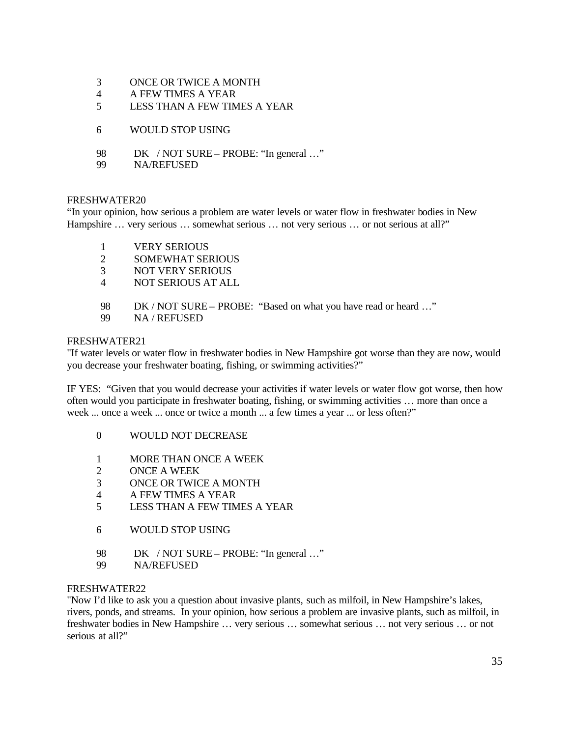- 3 ONCE OR TWICE A MONTH
- 4 A FEW TIMES A YEAR
- 5 LESS THAN A FEW TIMES A YEAR
- 6 WOULD STOP USING
- 98 DK / NOT SURE PROBE: "In general ..."
- 99 NA/REFUSED

"In your opinion, how serious a problem are water levels or water flow in freshwater bodies in New Hampshire ... very serious ... somewhat serious ... not very serious ... or not serious at all?"

- 1 VERY SERIOUS
- 2 SOMEWHAT SERIOUS
- 3 NOT VERY SERIOUS
- 4 NOT SERIOUS AT ALL
- 98 DK / NOT SURE PROBE: "Based on what you have read or heard …"
- 99 NA / REFUSED

## FRESHWATER21

"If water levels or water flow in freshwater bodies in New Hampshire got worse than they are now, would you decrease your freshwater boating, fishing, or swimming activities?"

IF YES: "Given that you would decrease your activities if water levels or water flow got worse, then how often would you participate in freshwater boating, fishing, or swimming activities … more than once a week ... once a week ... once or twice a month ... a few times a year ... or less often?"

- 0 WOULD NOT DECREASE
- 1 MORE THAN ONCE A WEEK
- 2 ONCE A WEEK
- 3 ONCE OR TWICE A MONTH
- 4 A FEW TIMES A YEAR
- 5 LESS THAN A FEW TIMES A YEAR
- 6 WOULD STOP USING
- 98 DK / NOT SURE PROBE: "In general ..."
- 99 NA/REFUSED

## FRESHWATER22

"Now I'd like to ask you a question about invasive plants, such as milfoil, in New Hampshire's lakes, rivers, ponds, and streams. In your opinion, how serious a problem are invasive plants, such as milfoil, in freshwater bodies in New Hampshire … very serious … somewhat serious … not very serious … or not serious at all?"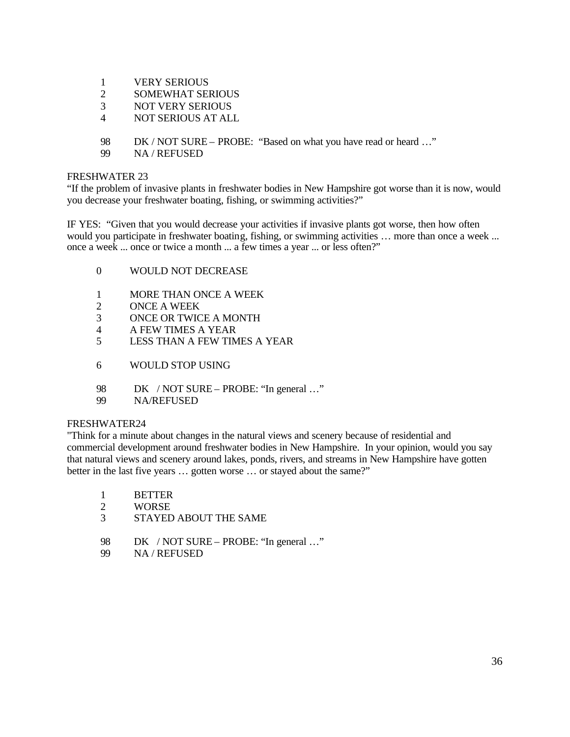- 1 VERY SERIOUS
- 2 SOMEWHAT SERIOUS
- 3 NOT VERY SERIOUS
- 4 NOT SERIOUS AT ALL
- 98 DK / NOT SURE PROBE: "Based on what you have read or heard …"
- 99 NA / REFUSED

"If the problem of invasive plants in freshwater bodies in New Hampshire got worse than it is now, would you decrease your freshwater boating, fishing, or swimming activities?"

IF YES: "Given that you would decrease your activities if invasive plants got worse, then how often would you participate in freshwater boating, fishing, or swimming activities ... more than once a week ... once a week ... once or twice a month ... a few times a year ... or less often?"

- 0 WOULD NOT DECREASE
- 1 MORE THAN ONCE A WEEK
- 2 ONCE A WEEK
- 3 ONCE OR TWICE A MONTH
- 4 A FEW TIMES A YEAR
- 5 LESS THAN A FEW TIMES A YEAR
- 6 WOULD STOP USING
- 98 DK / NOT SURE PROBE: "In general ..."
- 99 NA/REFUSED

#### FRESHWATER24

"Think for a minute about changes in the natural views and scenery because of residential and commercial development around freshwater bodies in New Hampshire. In your opinion, would you say that natural views and scenery around lakes, ponds, rivers, and streams in New Hampshire have gotten better in the last five years ... gotten worse ... or stayed about the same?"

- 1 BETTER
- 2 WORSE
- 3 STAYED ABOUT THE SAME
- 98 DK / NOT SURE PROBE: "In general ..."
- 99 NA / REFUSED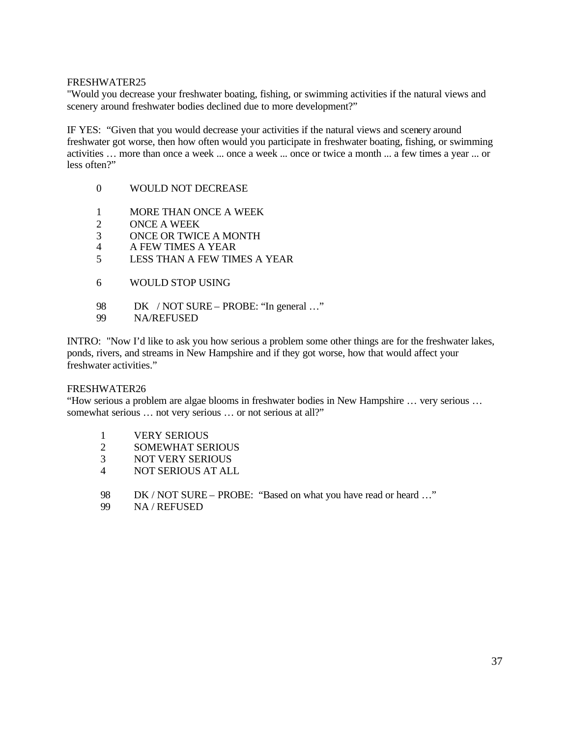"Would you decrease your freshwater boating, fishing, or swimming activities if the natural views and scenery around freshwater bodies declined due to more development?"

IF YES: "Given that you would decrease your activities if the natural views and scenery around freshwater got worse, then how often would you participate in freshwater boating, fishing, or swimming activities … more than once a week ... once a week ... once or twice a month ... a few times a year ... or less often?"

- 0 WOULD NOT DECREASE
- 1 MORE THAN ONCE A WEEK
- 2 ONCE A WEEK
- 3 ONCE OR TWICE A MONTH
- 4 A FEW TIMES A YEAR
- 5 LESS THAN A FEW TIMES A YEAR
- 6 WOULD STOP USING
- 98 DK / NOT SURE PROBE: "In general ..."
- 99 NA/REFUSED

INTRO: "Now I'd like to ask you how serious a problem some other things are for the freshwater lakes, ponds, rivers, and streams in New Hampshire and if they got worse, how that would affect your freshwater activities."

#### FRESHWATER26

"How serious a problem are algae blooms in freshwater bodies in New Hampshire … very serious … somewhat serious ... not very serious ... or not serious at all?"

- 1 VERY SERIOUS
- 2 SOMEWHAT SERIOUS
- 3 NOT VERY SERIOUS
- 4 NOT SERIOUS AT ALL
- 98 DK / NOT SURE PROBE: "Based on what you have read or heard …"
- 99 NA / REFUSED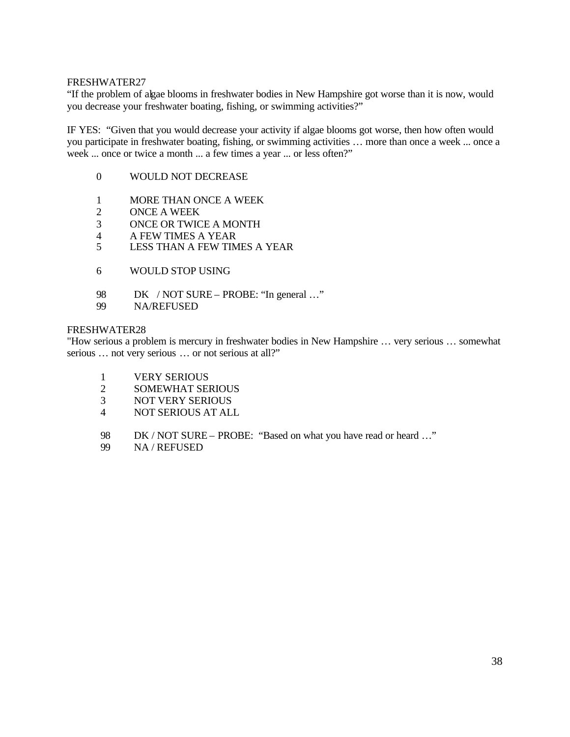"If the problem of algae blooms in freshwater bodies in New Hampshire got worse than it is now, would you decrease your freshwater boating, fishing, or swimming activities?"

IF YES: "Given that you would decrease your activity if algae blooms got worse, then how often would you participate in freshwater boating, fishing, or swimming activities … more than once a week ... once a week ... once or twice a month ... a few times a year ... or less often?"

- 0 WOULD NOT DECREASE
- 1 MORE THAN ONCE A WEEK
- 2 ONCE A WEEK
- 3 ONCE OR TWICE A MONTH
- 4 A FEW TIMES A YEAR
- 5 LESS THAN A FEW TIMES A YEAR
- 6 WOULD STOP USING
- 98 DK / NOT SURE PROBE: "In general ..."
- 99 NA/REFUSED

#### FRESHWATER28

"How serious a problem is mercury in freshwater bodies in New Hampshire … very serious … somewhat serious ... not very serious ... or not serious at all?"

- 1 VERY SERIOUS
- 2 SOMEWHAT SERIOUS
- 3 NOT VERY SERIOUS
- 4 NOT SERIOUS AT ALL
- 98 DK / NOT SURE PROBE: "Based on what you have read or heard …"
- 99 NA / REFUSED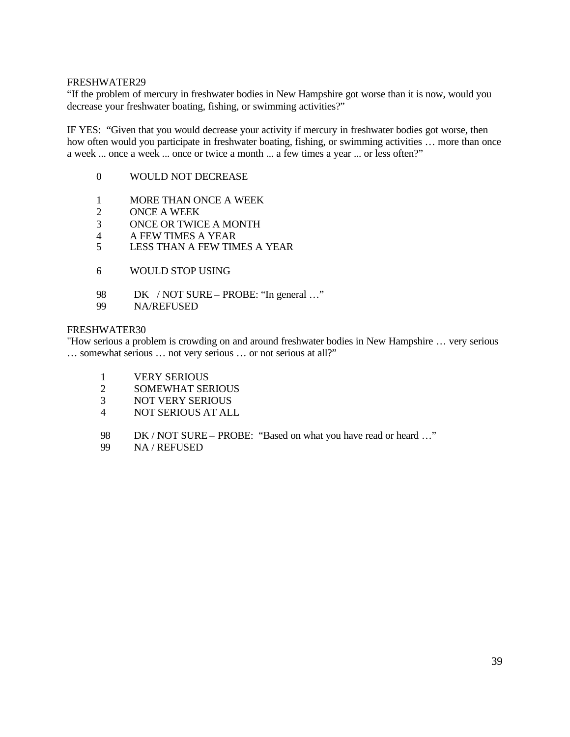"If the problem of mercury in freshwater bodies in New Hampshire got worse than it is now, would you decrease your freshwater boating, fishing, or swimming activities?"

IF YES: "Given that you would decrease your activity if mercury in freshwater bodies got worse, then how often would you participate in freshwater boating, fishing, or swimming activities ... more than once a week ... once a week ... once or twice a month ... a few times a year ... or less often?"

- 0 WOULD NOT DECREASE
- 1 MORE THAN ONCE A WEEK
- 2 ONCE A WEEK
- 3 ONCE OR TWICE A MONTH
- 4 A FEW TIMES A YEAR
- 5 LESS THAN A FEW TIMES A YEAR
- 6 WOULD STOP USING
- 98 DK / NOT SURE PROBE: "In general ..."
- 99 NA/REFUSED

## FRESHWATER30

"How serious a problem is crowding on and around freshwater bodies in New Hampshire … very serious … somewhat serious … not very serious … or not serious at all?"

- 1 VERY SERIOUS
- 2 SOMEWHAT SERIOUS
- 3 NOT VERY SERIOUS
- 4 NOT SERIOUS AT ALL
- 98 DK / NOT SURE PROBE: "Based on what you have read or heard …"
- 99 NA / REFUSED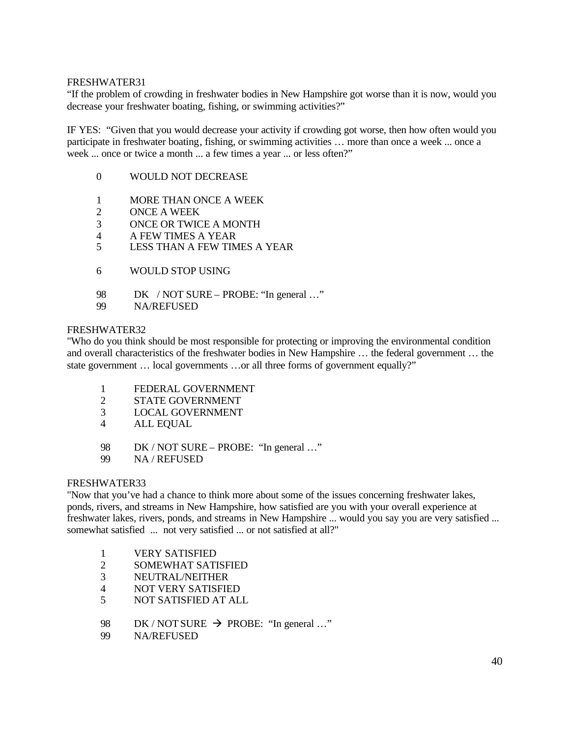"If the problem of crowding in freshwater bodies in New Hampshire got worse than it is now, would you decrease your freshwater boating, fishing, or swimming activities?"

IF YES: "Given that you would decrease your activity if crowding got worse, then how often would you participate in freshwater boating, fishing, or swimming activities … more than once a week ... once a week ... once or twice a month ... a few times a year ... or less often?"

- 0 WOULD NOT DECREASE
- 1 MORE THAN ONCE A WEEK
- 2 ONCE A WEEK
- 3 ONCE OR TWICE A MONTH
- 4 A FEW TIMES A YEAR
- 5 LESS THAN A FEW TIMES A YEAR
- 6 WOULD STOP USING
- 98 DK / NOT SURE PROBE: "In general ..."
- 99 NA/REFUSED

#### FRESHWATER32

"Who do you think should be most responsible for protecting or improving the environmental condition and overall characteristics of the freshwater bodies in New Hampshire … the federal government … the state government … local governments …or all three forms of government equally?"

- 1 FEDERAL GOVERNMENT
- 2 STATE GOVERNMENT
- 3 LOCAL GOVERNMENT
- 4 ALL EQUAL
- 98 DK / NOT SURE PROBE: "In general ..."
- 99 NA / REFUSED

#### FRESHWATER33

"Now that you've had a chance to think more about some of the issues concerning freshwater lakes, ponds, rivers, and streams in New Hampshire, how satisfied are you with your overall experience at freshwater lakes, rivers, ponds, and streams in New Hampshire ... would you say you are very satisfied ... somewhat satisfied ... not very satisfied ... or not satisfied at all?"

- 1 VERY SATISFIED
- 2 SOMEWHAT SATISFIED
- 3 NEUTRAL/NEITHER
- 4 NOT VERY SATISFIED
- 5 NOT SATISFIED AT ALL
- 98 DK / NOT SURE  $\rightarrow$  PROBE: "In general ..."
- 99 NA/REFUSED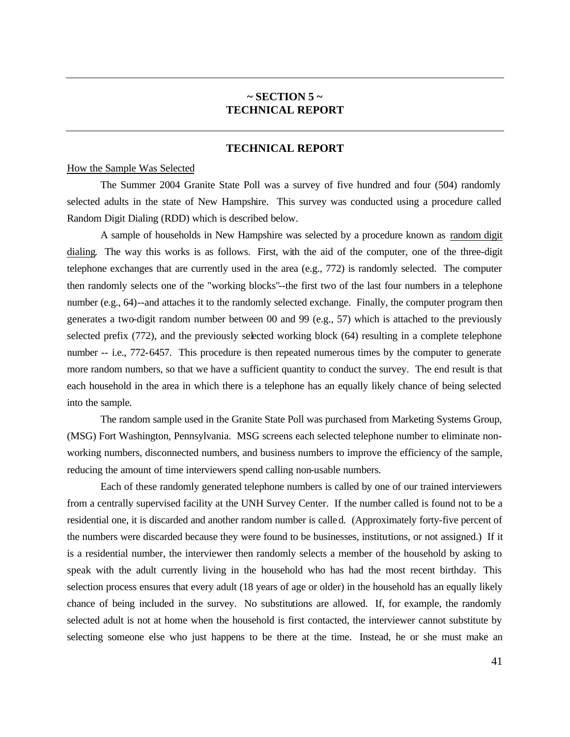## **~ SECTION 5 ~ TECHNICAL REPORT**

## **TECHNICAL REPORT**

## How the Sample Was Selected

The Summer 2004 Granite State Poll was a survey of five hundred and four (504) randomly selected adults in the state of New Hampshire. This survey was conducted using a procedure called Random Digit Dialing (RDD) which is described below.

A sample of households in New Hampshire was selected by a procedure known as random digit dialing. The way this works is as follows. First, with the aid of the computer, one of the three-digit telephone exchanges that are currently used in the area (e.g., 772) is randomly selected. The computer then randomly selects one of the "working blocks"--the first two of the last four numbers in a telephone number (e.g., 64)--and attaches it to the randomly selected exchange. Finally, the computer program then generates a two-digit random number between 00 and 99 (e.g., 57) which is attached to the previously selected prefix (772), and the previously selected working block (64) resulting in a complete telephone number -- i.e., 772-6457. This procedure is then repeated numerous times by the computer to generate more random numbers, so that we have a sufficient quantity to conduct the survey. The end result is that each household in the area in which there is a telephone has an equally likely chance of being selected into the sample.

The random sample used in the Granite State Poll was purchased from Marketing Systems Group, (MSG) Fort Washington, Pennsylvania. MSG screens each selected telephone number to eliminate nonworking numbers, disconnected numbers, and business numbers to improve the efficiency of the sample, reducing the amount of time interviewers spend calling non-usable numbers.

Each of these randomly generated telephone numbers is called by one of our trained interviewers from a centrally supervised facility at the UNH Survey Center. If the number called is found not to be a residential one, it is discarded and another random number is called. (Approximately forty-five percent of the numbers were discarded because they were found to be businesses, institutions, or not assigned.) If it is a residential number, the interviewer then randomly selects a member of the household by asking to speak with the adult currently living in the household who has had the most recent birthday. This selection process ensures that every adult (18 years of age or older) in the household has an equally likely chance of being included in the survey. No substitutions are allowed. If, for example, the randomly selected adult is not at home when the household is first contacted, the interviewer cannot substitute by selecting someone else who just happens to be there at the time. Instead, he or she must make an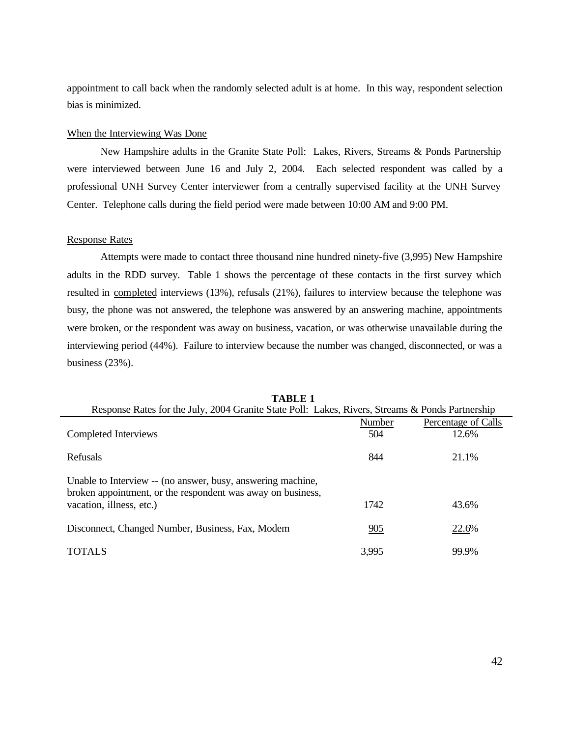appointment to call back when the randomly selected adult is at home. In this way, respondent selection bias is minimized.

## When the Interviewing Was Done

New Hampshire adults in the Granite State Poll: Lakes, Rivers, Streams & Ponds Partnership were interviewed between June 16 and July 2, 2004. Each selected respondent was called by a professional UNH Survey Center interviewer from a centrally supervised facility at the UNH Survey Center. Telephone calls during the field period were made between 10:00 AM and 9:00 PM.

#### Response Rates

Attempts were made to contact three thousand nine hundred ninety-five (3,995) New Hampshire adults in the RDD survey. Table 1 shows the percentage of these contacts in the first survey which resulted in completed interviews (13%), refusals (21%), failures to interview because the telephone was busy, the phone was not answered, the telephone was answered by an answering machine, appointments were broken, or the respondent was away on business, vacation, or was otherwise unavailable during the interviewing period (44%). Failure to interview because the number was changed, disconnected, or was a business (23%).

| Response Rates for the July, 2004 Granite State Poll: Lakes, Rivers, Streams & Ponds Partnership                           |        |                     |
|----------------------------------------------------------------------------------------------------------------------------|--------|---------------------|
|                                                                                                                            | Number | Percentage of Calls |
| Completed Interviews                                                                                                       | 504    | 12.6%               |
| Refusals                                                                                                                   | 844    | 21.1%               |
| Unable to Interview -- (no answer, busy, answering machine,<br>broken appointment, or the respondent was away on business, |        |                     |
| vacation, illness, etc.)                                                                                                   | 1742   | 43.6%               |
| Disconnect, Changed Number, Business, Fax, Modem                                                                           | 905    | 22.6%               |
| <b>TOTALS</b>                                                                                                              | 3,995  | 99.9%               |

**TABLE 1**